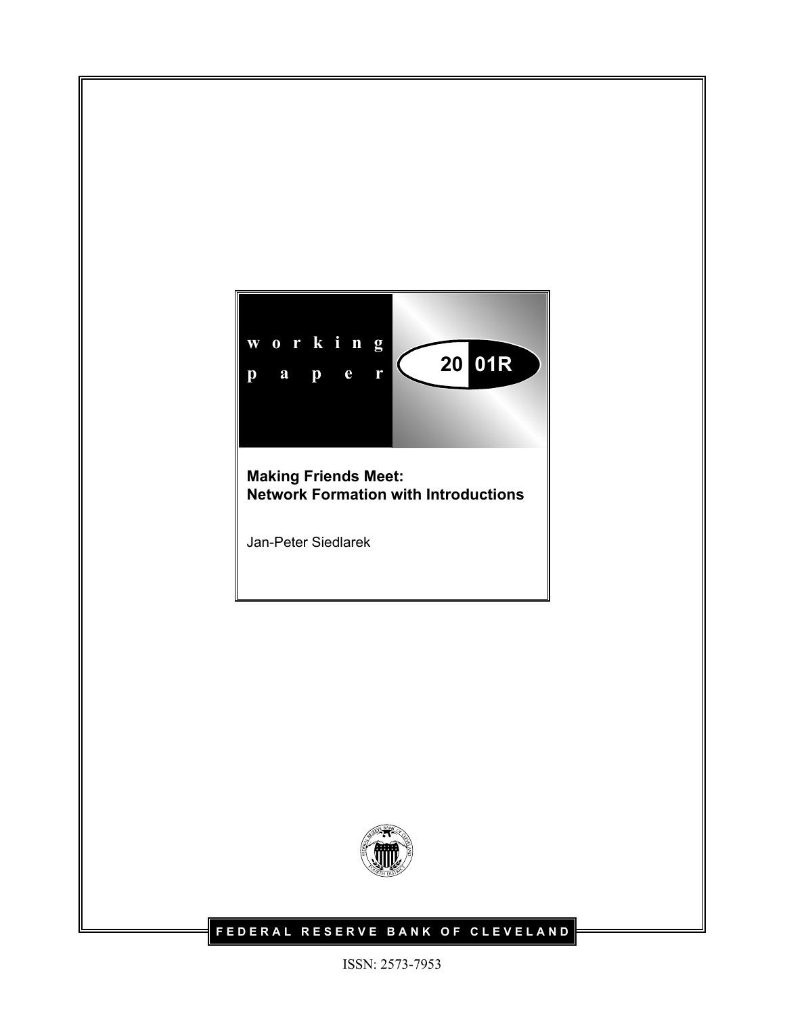

**Making Friends Meet: Network Formation with Introductions**

Jan-Peter Siedlarek



# **FEDERAL RESERVE BANK OF CLEVELAND**

ISSN: 2573-7953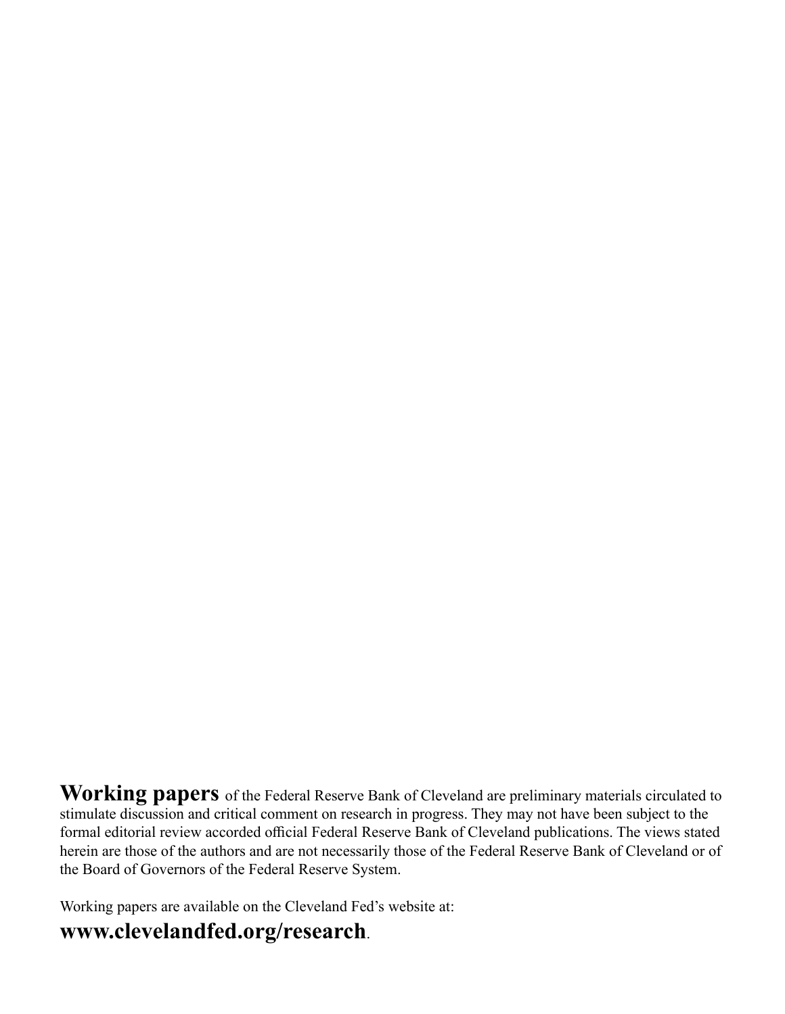**Working papers** of the Federal Reserve Bank of Cleveland are preliminary materials circulated to stimulate discussion and critical comment on research in progress. They may not have been subject to the formal editorial review accorded official Federal Reserve Bank of Cleveland publications. The views stated herein are those of the authors and are not necessarily those of the Federal Reserve Bank of Cleveland or of the Board of Governors of the Federal Reserve System.

Working papers are available on the Cleveland Fed's website at:

# **www.clevelandfed.org/research**.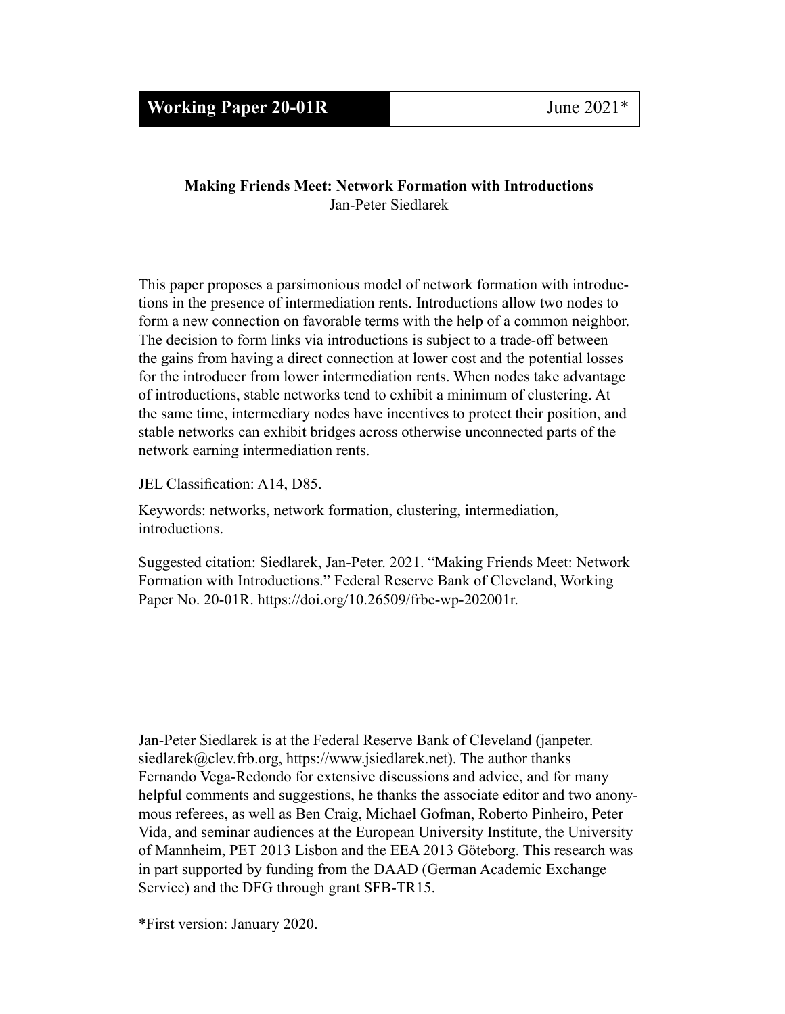### **Making Friends Meet: Network Formation with Introductions** Jan-Peter Siedlarek

This paper proposes a parsimonious model of network formation with introductions in the presence of intermediation rents. Introductions allow two nodes to form a new connection on favorable terms with the help of a common neighbor. The decision to form links via introductions is subject to a trade-off between the gains from having a direct connection at lower cost and the potential losses for the introducer from lower intermediation rents. When nodes take advantage of introductions, stable networks tend to exhibit a minimum of clustering. At the same time, intermediary nodes have incentives to protect their position, and stable networks can exhibit bridges across otherwise unconnected parts of the network earning intermediation rents.

JEL Classification: A14, D85.

Keywords: networks, network formation, clustering, intermediation, introductions.

Suggested citation: Siedlarek, Jan-Peter. 2021. "Making Friends Meet: Network Formation with Introductions." Federal Reserve Bank of Cleveland, Working Paper No. 20-01R. https://doi.org/10.26509/frbc-wp-202001r.

Jan-Peter Siedlarek is at the Federal Reserve Bank of Cleveland (janpeter. siedlarek@clev.frb.org, https://www.jsiedlarek.net). The author thanks Fernando Vega-Redondo for extensive discussions and advice, and for many helpful comments and suggestions, he thanks the associate editor and two anonymous referees, as well as Ben Craig, Michael Gofman, Roberto Pinheiro, Peter Vida, and seminar audiences at the European University Institute, the University of Mannheim, PET 2013 Lisbon and the EEA 2013 Göteborg. This research was in part supported by funding from the DAAD (German Academic Exchange Service) and the DFG through grant SFB-TR15.

\*First version: January 2020.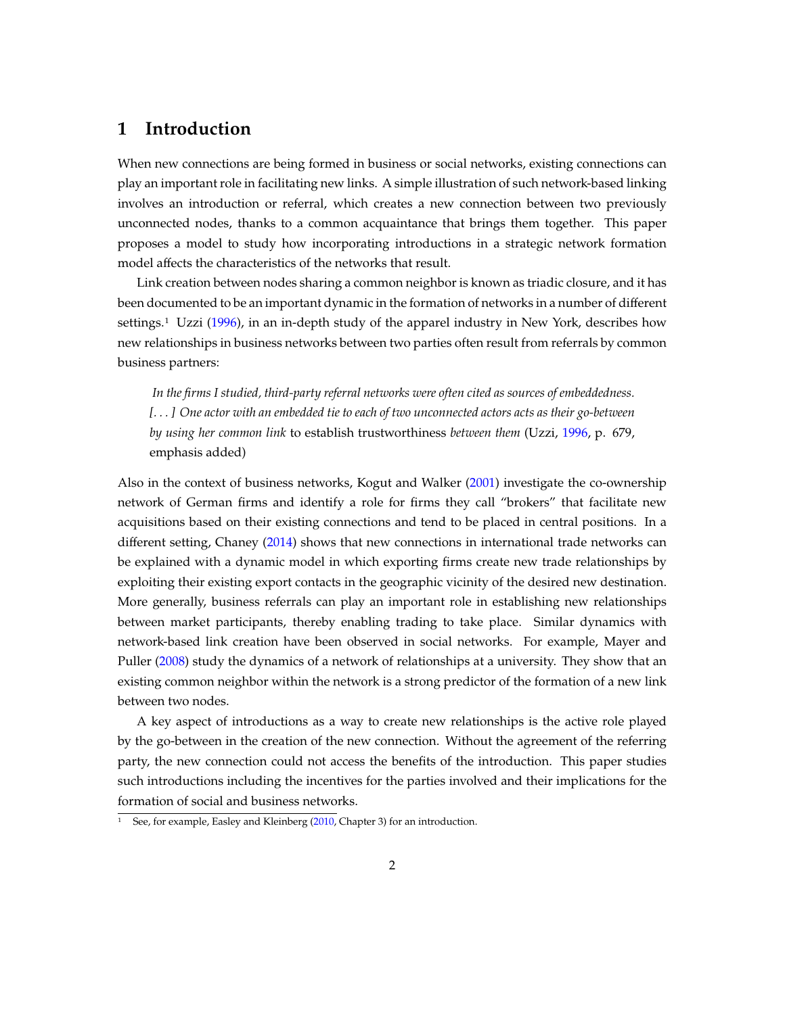## **1 Introduction**

When new connections are being formed in business or social networks, existing connections can play an important role in facilitating new links. A simple illustration of such network-based linking involves an introduction or referral, which creates a new connection between two previously unconnected nodes, thanks to a common acquaintance that brings them together. This paper proposes a model to study how incorporating introductions in a strategic network formation model affects the characteristics of the networks that result.

Link creation between nodes sharing a common neighbor is known as triadic closure, and it has been documented to be an important dynamic in the formation of networks in a number of different settings.<sup>1</sup> Uzzi ([1996\)](#page-27-0), in an in-depth study of the apparel industry in New York, describes how new relationships in business networks between two parties often result from referrals by common business partners:

*In the firms I studied, third-party referral networks were often cited as sources of embeddedness. [. . . ] One actor with an embedded tie to each of two unconnected actors acts as their go-between by using her common link* to establish trustworthiness *between them* (Uzzi, [1996,](#page-27-0) p. 679, emphasis added)

Also in the context of business networks, Kogut and Walker ([2001](#page-26-0)) investigate the co-ownership network of German firms and identify a role for firms they call "brokers" that facilitate new acquisitions based on their existing connections and tend to be placed in central positions. In a different setting, Chaney [\(2014](#page-25-0)) shows that new connections in international trade networks can be explained with a dynamic model in which exporting firms create new trade relationships by exploiting their existing export contacts in the geographic vicinity of the desired new destination. More generally, business referrals can play an important role in establishing new relationships between market participants, thereby enabling trading to take place. Similar dynamics with network-based link creation have been observed in social networks. For example, Mayer and Puller [\(2008](#page-27-1)) study the dynamics of a network of relationships at a university. They show that an existing common neighbor within the network is a strong predictor of the formation of a new link between two nodes.

A key aspect of introductions as a way to create new relationships is the active role played by the go-between in the creation of the new connection. Without the agreement of the referring party, the new connection could not access the benefits of the introduction. This paper studies such introductions including the incentives for the parties involved and their implications for the formation of social and business networks.

<sup>1</sup>See, for example, Easley and Kleinberg ([2010,](#page-26-1) Chapter 3) for an introduction.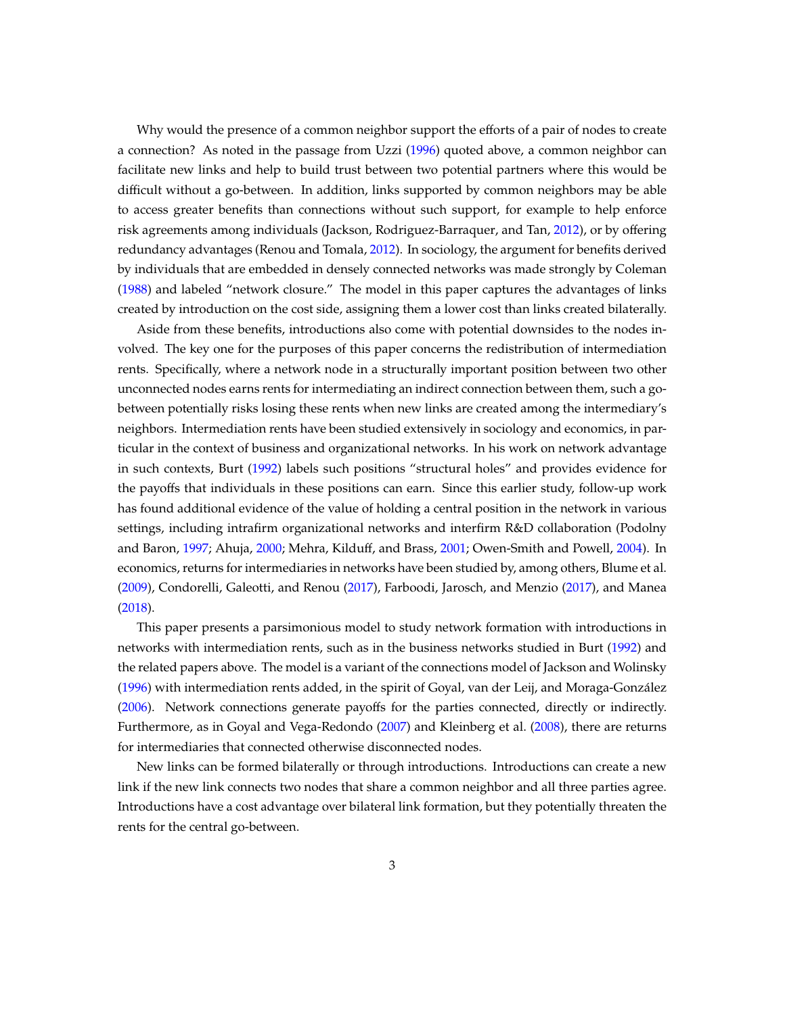Why would the presence of a common neighbor support the efforts of a pair of nodes to create a connection? As noted in the passage from Uzzi [\(1996\)](#page-27-0) quoted above, a common neighbor can facilitate new links and help to build trust between two potential partners where this would be difficult without a go-between. In addition, links supported by common neighbors may be able to access greater benefits than connections without such support, for example to help enforce risk agreements among individuals (Jackson, Rodriguez-Barraquer, and Tan, [2012](#page-26-2)), or by offering redundancy advantages (Renou and Tomala, [2012\)](#page-27-2). In sociology, the argument for benefits derived by individuals that are embedded in densely connected networks was made strongly by Coleman [\(1988](#page-25-1)) and labeled "network closure." The model in this paper captures the advantages of links created by introduction on the cost side, assigning them a lower cost than links created bilaterally.

Aside from these benefits, introductions also come with potential downsides to the nodes involved. The key one for the purposes of this paper concerns the redistribution of intermediation rents. Specifically, where a network node in a structurally important position between two other unconnected nodes earns rents for intermediating an indirect connection between them, such a gobetween potentially risks losing these rents when new links are created among the intermediary's neighbors. Intermediation rents have been studied extensively in sociology and economics, in particular in the context of business and organizational networks. In his work on network advantage in such contexts, Burt ([1992\)](#page-25-2) labels such positions "structural holes" and provides evidence for the payoffs that individuals in these positions can earn. Since this earlier study, follow-up work has found additional evidence of the value of holding a central position in the network in various settings, including intrafirm organizational networks and interfirm R&D collaboration (Podolny and Baron, [1997;](#page-27-3) Ahuja, [2000;](#page-25-3) Mehra, Kilduff, and Brass, [2001;](#page-27-4) Owen-Smith and Powell, [2004](#page-27-5)). In economics, returns for intermediaries in networks have been studied by, among others, Blume et al. [\(2009](#page-25-4)), Condorelli, Galeotti, and Renou [\(2017](#page-25-5)), Farboodi, Jarosch, and Menzio ([2017\)](#page-26-3), and Manea [\(2018](#page-27-6)).

This paper presents a parsimonious model to study network formation with introductions in networks with intermediation rents, such as in the business networks studied in Burt [\(1992](#page-25-2)) and the related papers above. The model is a variant of the connections model of Jackson and Wolinsky [\(1996](#page-26-4)) with intermediation rents added, in the spirit of Goyal, van der Leij, and Moraga-González [\(2006](#page-26-5)). Network connections generate payoffs for the parties connected, directly or indirectly. Furthermore, as in Goyal and Vega-Redondo [\(2007](#page-26-6)) and Kleinberg et al. [\(2008\)](#page-26-7), there are returns for intermediaries that connected otherwise disconnected nodes.

New links can be formed bilaterally or through introductions. Introductions can create a new link if the new link connects two nodes that share a common neighbor and all three parties agree. Introductions have a cost advantage over bilateral link formation, but they potentially threaten the rents for the central go-between.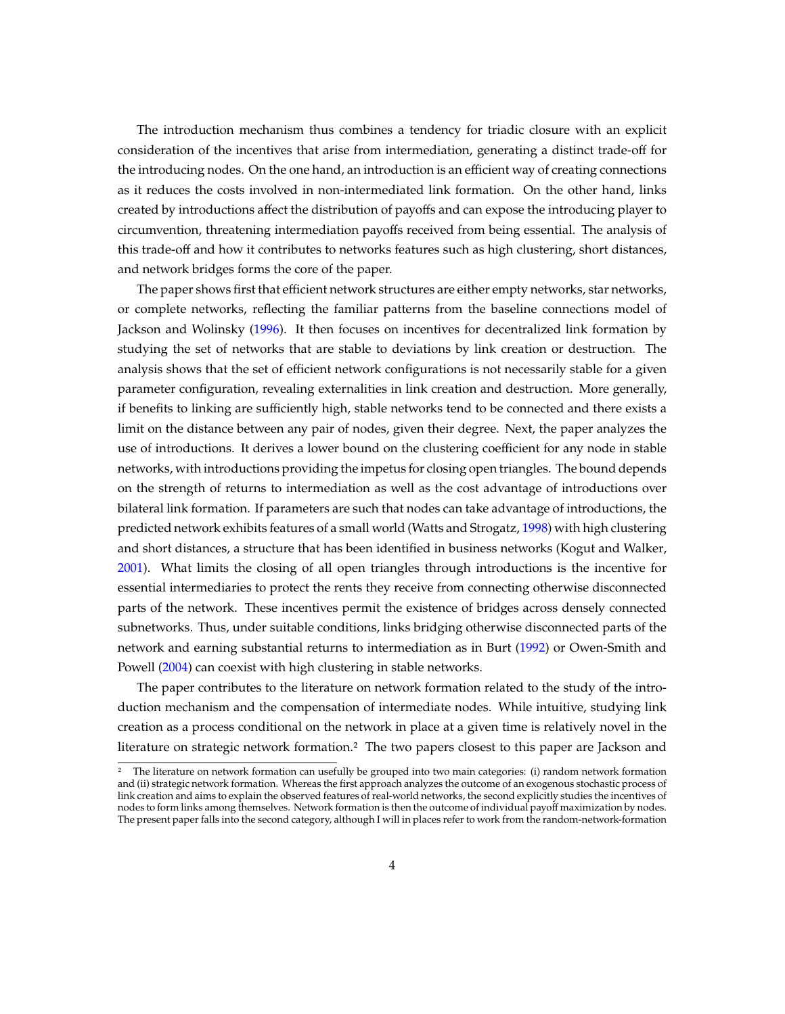The introduction mechanism thus combines a tendency for triadic closure with an explicit consideration of the incentives that arise from intermediation, generating a distinct trade-off for the introducing nodes. On the one hand, an introduction is an efficient way of creating connections as it reduces the costs involved in non-intermediated link formation. On the other hand, links created by introductions affect the distribution of payoffs and can expose the introducing player to circumvention, threatening intermediation payoffs received from being essential. The analysis of this trade-off and how it contributes to networks features such as high clustering, short distances, and network bridges forms the core of the paper.

The paper shows first that efficient network structures are either empty networks, star networks, or complete networks, reflecting the familiar patterns from the baseline connections model of Jackson and Wolinsky [\(1996\)](#page-26-4). It then focuses on incentives for decentralized link formation by studying the set of networks that are stable to deviations by link creation or destruction. The analysis shows that the set of efficient network configurations is not necessarily stable for a given parameter configuration, revealing externalities in link creation and destruction. More generally, if benefits to linking are sufficiently high, stable networks tend to be connected and there exists a limit on the distance between any pair of nodes, given their degree. Next, the paper analyzes the use of introductions. It derives a lower bound on the clustering coefficient for any node in stable networks, with introductions providing the impetus for closing open triangles. The bound depends on the strength of returns to intermediation as well as the cost advantage of introductions over bilateral link formation. If parameters are such that nodes can take advantage of introductions, the predicted network exhibits features of a small world (Watts and Strogatz, [1998](#page-27-7)) with high clustering and short distances, a structure that has been identified in business networks (Kogut and Walker, [2001\)](#page-26-0). What limits the closing of all open triangles through introductions is the incentive for essential intermediaries to protect the rents they receive from connecting otherwise disconnected parts of the network. These incentives permit the existence of bridges across densely connected subnetworks. Thus, under suitable conditions, links bridging otherwise disconnected parts of the network and earning substantial returns to intermediation as in Burt [\(1992](#page-25-2)) or Owen-Smith and Powell ([2004\)](#page-27-5) can coexist with high clustering in stable networks.

The paper contributes to the literature on network formation related to the study of the introduction mechanism and the compensation of intermediate nodes. While intuitive, studying link creation as a process conditional on the network in place at a given time is relatively novel in the literature on strategic network formation.2 The two papers closest to this paper are Jackson and

<sup>2</sup> The literature on network formation can usefully be grouped into two main categories: (i) random network formation and (ii) strategic network formation. Whereas the first approach analyzes the outcome of an exogenous stochastic process of link creation and aims to explain the observed features of real-world networks, the second explicitly studies the incentives of nodes to form links among themselves. Network formation is then the outcome of individual payoff maximization by nodes. The present paper falls into the second category, although I will in places refer to work from the random-network-formation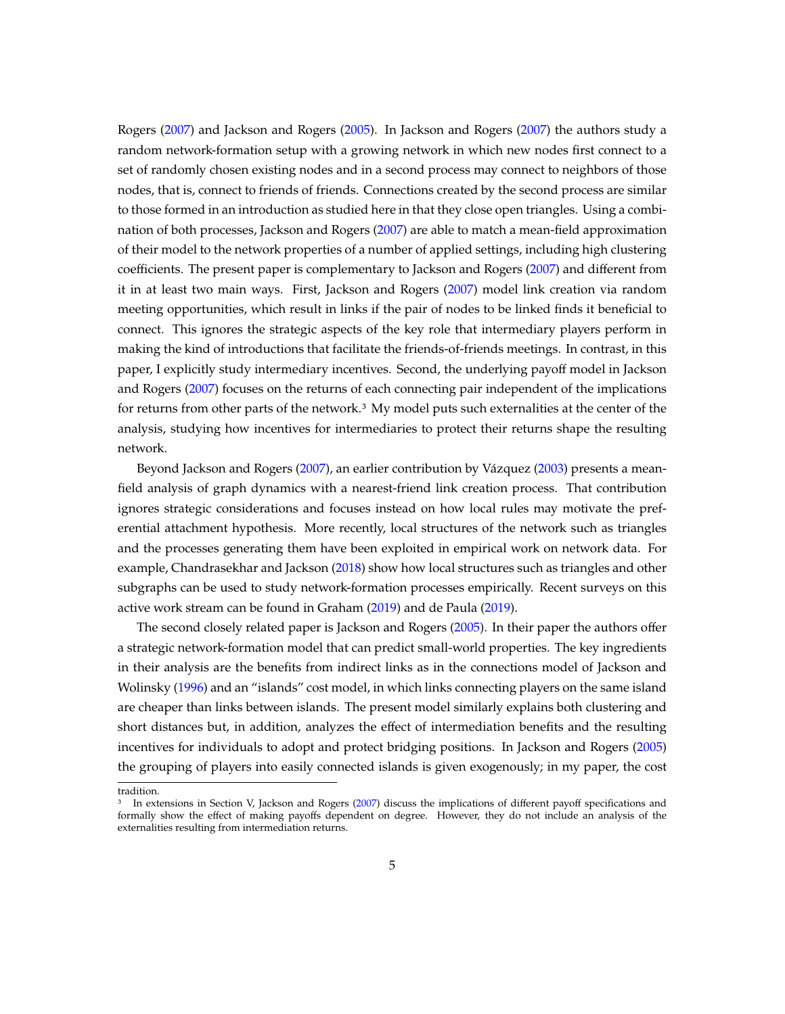Rogers [\(2007](#page-26-8)) and Jackson and Rogers ([2005\)](#page-26-9). In Jackson and Rogers [\(2007](#page-26-8)) the authors study a random network-formation setup with a growing network in which new nodes first connect to a set of randomly chosen existing nodes and in a second process may connect to neighbors of those nodes, that is, connect to friends of friends. Connections created by the second process are similar to those formed in an introduction as studied here in that they close open triangles. Using a combination of both processes, Jackson and Rogers [\(2007](#page-26-8)) are able to match a mean-field approximation of their model to the network properties of a number of applied settings, including high clustering coefficients. The present paper is complementary to Jackson and Rogers ([2007](#page-26-8)) and different from it in at least two main ways. First, Jackson and Rogers [\(2007](#page-26-8)) model link creation via random meeting opportunities, which result in links if the pair of nodes to be linked finds it beneficial to connect. This ignores the strategic aspects of the key role that intermediary players perform in making the kind of introductions that facilitate the friends-of-friends meetings. In contrast, in this paper, I explicitly study intermediary incentives. Second, the underlying payoff model in Jackson and Rogers [\(2007](#page-26-8)) focuses on the returns of each connecting pair independent of the implications for returns from other parts of the network.3 My model puts such externalities at the center of the analysis, studying how incentives for intermediaries to protect their returns shape the resulting network.

Beyond Jackson and Rogers [\(2007\)](#page-26-8), an earlier contribution by Vázquez ([2003\)](#page-27-8) presents a meanfield analysis of graph dynamics with a nearest-friend link creation process. That contribution ignores strategic considerations and focuses instead on how local rules may motivate the preferential attachment hypothesis. More recently, local structures of the network such as triangles and the processes generating them have been exploited in empirical work on network data. For example, Chandrasekhar and Jackson ([2018\)](#page-25-6) show how local structures such as triangles and other subgraphs can be used to study network-formation processes empirically. Recent surveys on this active work stream can be found in Graham ([2019](#page-26-10)) and de Paula [\(2019](#page-26-11)).

The second closely related paper is Jackson and Rogers ([2005](#page-26-9)). In their paper the authors offer a strategic network-formation model that can predict small-world properties. The key ingredients in their analysis are the benefits from indirect links as in the connections model of Jackson and Wolinsky ([1996\)](#page-26-4) and an "islands" cost model, in which links connecting players on the same island are cheaper than links between islands. The present model similarly explains both clustering and short distances but, in addition, analyzes the effect of intermediation benefits and the resulting incentives for individuals to adopt and protect bridging positions. In Jackson and Rogers ([2005\)](#page-26-9) the grouping of players into easily connected islands is given exogenously; in my paper, the cost

tradition.

<sup>3</sup> In extensions in Section V, Jackson and Rogers ([2007\)](#page-26-8) discuss the implications of different payoff specifications and formally show the effect of making payoffs dependent on degree. However, they do not include an analysis of the externalities resulting from intermediation returns.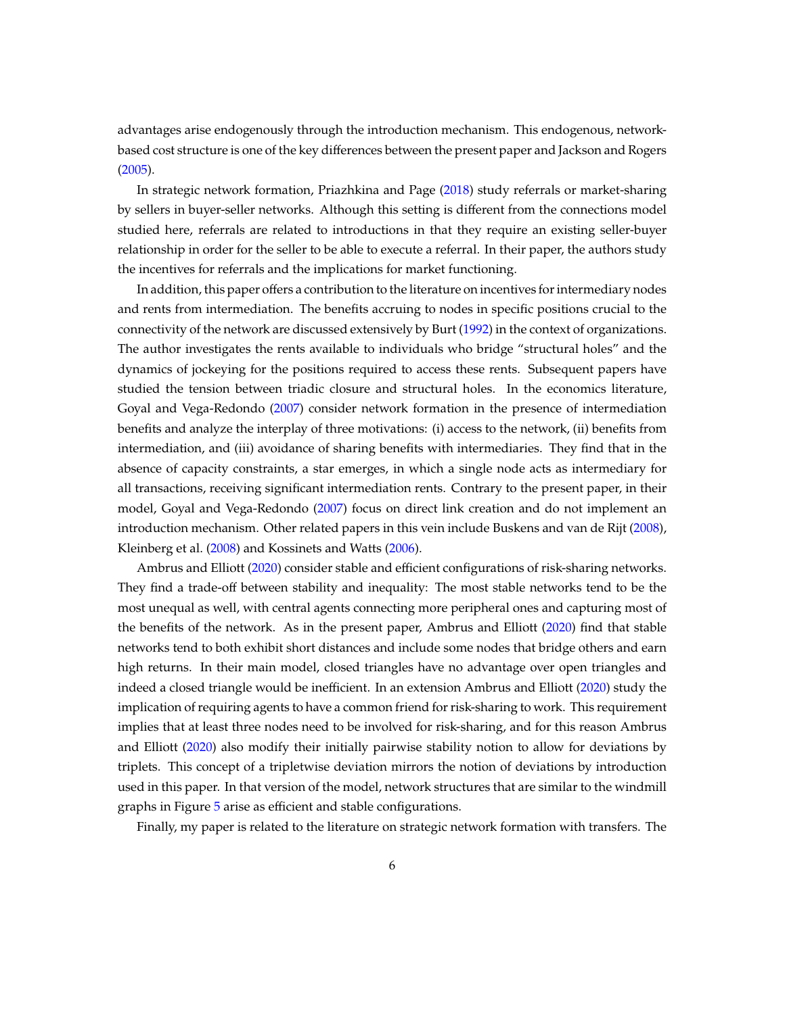advantages arise endogenously through the introduction mechanism. This endogenous, networkbased cost structure is one of the key differences between the present paper and Jackson and Rogers [\(2005](#page-26-9)).

In strategic network formation, Priazhkina and Page [\(2018](#page-27-9)) study referrals or market-sharing by sellers in buyer-seller networks. Although this setting is different from the connections model studied here, referrals are related to introductions in that they require an existing seller-buyer relationship in order for the seller to be able to execute a referral. In their paper, the authors study the incentives for referrals and the implications for market functioning.

In addition, this paper offers a contribution to the literature on incentives for intermediary nodes and rents from intermediation. The benefits accruing to nodes in specific positions crucial to the connectivity of the network are discussed extensively by Burt [\(1992](#page-25-2)) in the context of organizations. The author investigates the rents available to individuals who bridge "structural holes" and the dynamics of jockeying for the positions required to access these rents. Subsequent papers have studied the tension between triadic closure and structural holes. In the economics literature, Goyal and Vega-Redondo ([2007\)](#page-26-6) consider network formation in the presence of intermediation benefits and analyze the interplay of three motivations: (i) access to the network, (ii) benefits from intermediation, and (iii) avoidance of sharing benefits with intermediaries. They find that in the absence of capacity constraints, a star emerges, in which a single node acts as intermediary for all transactions, receiving significant intermediation rents. Contrary to the present paper, in their model, Goyal and Vega-Redondo ([2007\)](#page-26-6) focus on direct link creation and do not implement an introduction mechanism. Other related papers in this vein include Buskens and van de Rijt [\(2008](#page-25-7)), Kleinberg et al. [\(2008](#page-26-7)) and Kossinets and Watts ([2006\)](#page-27-10).

Ambrus and Elliott [\(2020](#page-25-8)) consider stable and efficient configurations of risk-sharing networks. They find a trade-off between stability and inequality: The most stable networks tend to be the most unequal as well, with central agents connecting more peripheral ones and capturing most of the benefits of the network. As in the present paper, Ambrus and Elliott [\(2020](#page-25-8)) find that stable networks tend to both exhibit short distances and include some nodes that bridge others and earn high returns. In their main model, closed triangles have no advantage over open triangles and indeed a closed triangle would be inefficient. In an extension Ambrus and Elliott ([2020\)](#page-25-8) study the implication of requiring agents to have a common friend for risk-sharing to work. This requirement implies that at least three nodes need to be involved for risk-sharing, and for this reason Ambrus and Elliott ([2020\)](#page-25-8) also modify their initially pairwise stability notion to allow for deviations by triplets. This concept of a tripletwise deviation mirrors the notion of deviations by introduction used in this paper. In that version of the model, network structures that are similar to the windmill graphs in Figure [5](#page-21-0) arise as efficient and stable configurations.

Finally, my paper is related to the literature on strategic network formation with transfers. The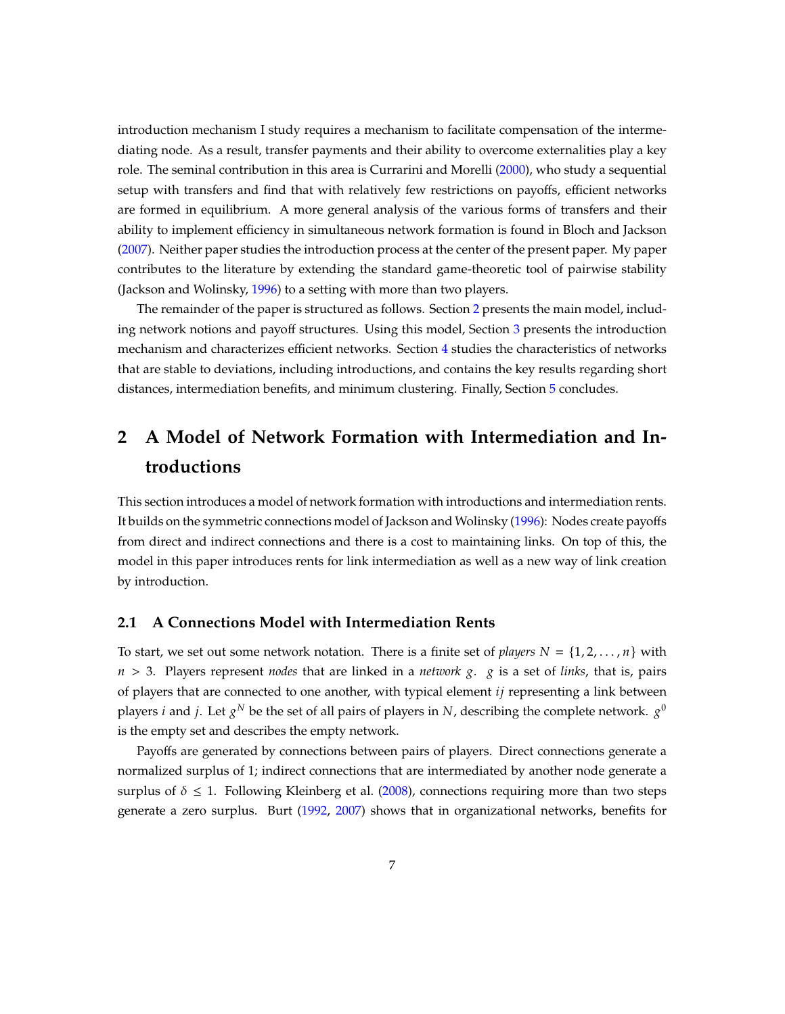introduction mechanism I study requires a mechanism to facilitate compensation of the intermediating node. As a result, transfer payments and their ability to overcome externalities play a key role. The seminal contribution in this area is Currarini and Morelli ([2000\)](#page-25-9), who study a sequential setup with transfers and find that with relatively few restrictions on payoffs, efficient networks are formed in equilibrium. A more general analysis of the various forms of transfers and their ability to implement efficiency in simultaneous network formation is found in Bloch and Jackson [\(2007](#page-25-10)). Neither paper studies the introduction process at the center of the present paper. My paper contributes to the literature by extending the standard game-theoretic tool of pairwise stability (Jackson and Wolinsky, [1996](#page-26-4)) to a setting with more than two players.

The remainder of the paper is structured as follows. Section [2](#page-8-0) presents the main model, including network notions and payoff structures. Using this model, Section [3](#page-11-0) presents the introduction mechanism and characterizes efficient networks. Section [4](#page-13-0) studies the characteristics of networks that are stable to deviations, including introductions, and contains the key results regarding short distances, intermediation benefits, and minimum clustering. Finally, Section [5](#page-24-0) concludes.

# <span id="page-8-0"></span>**2 A Model of Network Formation with Intermediation and Introductions**

This section introduces a model of network formation with introductions and intermediation rents. It builds on the symmetric connections model of Jackson and Wolinsky ([1996](#page-26-4)): Nodes create payoffs from direct and indirect connections and there is a cost to maintaining links. On top of this, the model in this paper introduces rents for link intermediation as well as a new way of link creation by introduction.

#### **2.1 A Connections Model with Intermediation Rents**

To start, we set out some network notation. There is a finite set of *players*  $N = \{1, 2, \ldots, n\}$  with  $n > 3$ . Players represent *nodes* that are linked in a *network* g. g is a set of *links*, that is, pairs of players that are connected to one another, with typical element  $i_j$  representing a link between players *i* and *j*. Let  $g^N$  be the set of all pairs of players in N, describing the complete network.  $g^0$ is the empty set and describes the empty network.

Payoffs are generated by connections between pairs of players. Direct connections generate a normalized surplus of 1; indirect connections that are intermediated by another node generate a surplus of  $\delta \leq 1$ . Following Kleinberg et al. [\(2008](#page-26-7)), connections requiring more than two steps generate a zero surplus. Burt [\(1992](#page-25-2), [2007\)](#page-25-11) shows that in organizational networks, benefits for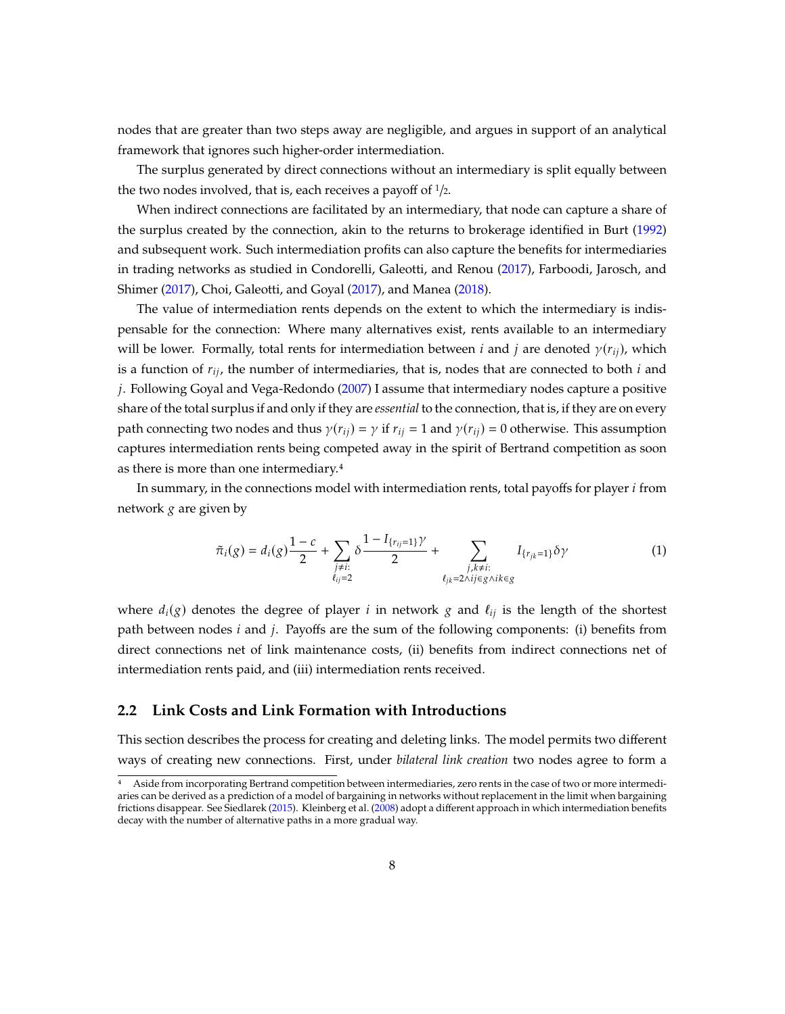nodes that are greater than two steps away are negligible, and argues in support of an analytical framework that ignores such higher-order intermediation.

The surplus generated by direct connections without an intermediary is split equally between the two nodes involved, that is, each receives a payoff of  $1/2$ .

When indirect connections are facilitated by an intermediary, that node can capture a share of the surplus created by the connection, akin to the returns to brokerage identified in Burt ([1992\)](#page-25-2) and subsequent work. Such intermediation profits can also capture the benefits for intermediaries in trading networks as studied in Condorelli, Galeotti, and Renou [\(2017](#page-25-5)), Farboodi, Jarosch, and Shimer [\(2017\)](#page-26-12), Choi, Galeotti, and Goyal [\(2017](#page-25-12)), and Manea ([2018\)](#page-27-6).

The value of intermediation rents depends on the extent to which the intermediary is indispensable for the connection: Where many alternatives exist, rents available to an intermediary will be lower. Formally, total rents for intermediation between *i* and *j* are denoted  $\gamma(r_{ii})$ , which is a function of  $r_{ij}$ , the number of intermediaries, that is, nodes that are connected to both *i* and j. Following Goyal and Vega-Redondo ([2007\)](#page-26-6) I assume that intermediary nodes capture a positive share of the total surplus if and only if they are *essential* to the connection, that is, if they are on every path connecting two nodes and thus  $\gamma(r_{ij}) = \gamma$  if  $r_{ij} = 1$  and  $\gamma(r_{ij}) = 0$  otherwise. This assumption captures intermediation rents being competed away in the spirit of Bertrand competition as soon as there is more than one intermediary.4

In summary, in the connections model with intermediation rents, total payoffs for player  $i$  from network  $g$  are given by

$$
\tilde{\pi}_i(g) = d_i(g)\frac{1-c}{2} + \sum_{\substack{j \neq i:\\\ell_{ij}=2}} \delta \frac{1-I_{\{r_{ij}=1\}\gamma}}{2} + \sum_{\substack{j,k \neq i:\\\ell_{jk}=2 \land ij \in g \land ik \in g}} I_{\{r_{jk}=1\}} \delta \gamma
$$
\n(1)

where  $d_i(g)$  denotes the degree of player *i* in network  $g$  and  $\ell_{ij}$  is the length of the shortest path between nodes  $i$  and  $j$ . Payoffs are the sum of the following components: (i) benefits from direct connections net of link maintenance costs, (ii) benefits from indirect connections net of intermediation rents paid, and (iii) intermediation rents received.

### **2.2 Link Costs and Link Formation with Introductions**

This section describes the process for creating and deleting links. The model permits two different ways of creating new connections. First, under *bilateral link creation* two nodes agree to form a

<sup>4</sup> Aside from incorporating Bertrand competition between intermediaries, zero rents in the case of two or more intermediaries can be derived as a prediction of a model of bargaining in networks without replacement in the limit when bargaining frictions disappear. See Siedlarek [\(2015](#page-27-11)). Kleinberg et al. [\(2008](#page-26-7)) adopt a different approach in which intermediation benefits decay with the number of alternative paths in a more gradual way.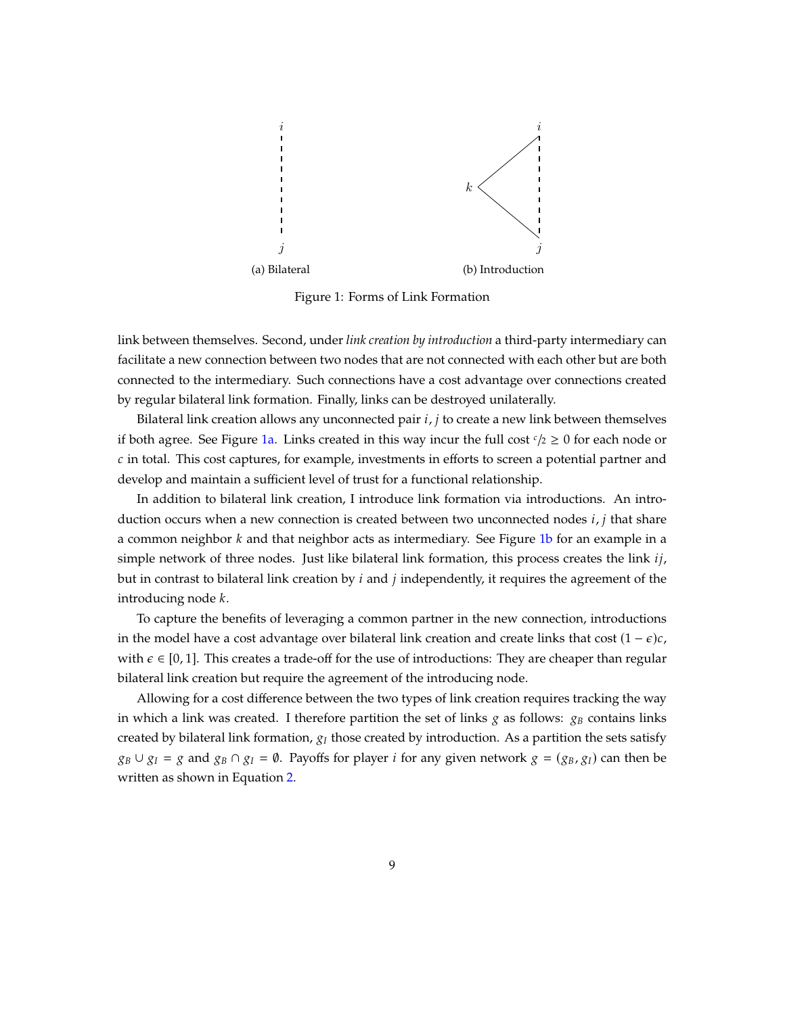<span id="page-10-0"></span>

Figure 1: Forms of Link Formation

link between themselves. Second, under *link creation by introduction* a third-party intermediary can facilitate a new connection between two nodes that are not connected with each other but are both connected to the intermediary. Such connections have a cost advantage over connections created by regular bilateral link formation. Finally, links can be destroyed unilaterally.

Bilateral link creation allows any unconnected pair *i*, *j* to create a new link between themselves if both agree. See Figure [1a.](#page-10-0) Links created in this way incur the full cost  $\epsilon/2 \geq 0$  for each node or  $c$  in total. This cost captures, for example, investments in efforts to screen a potential partner and develop and maintain a sufficient level of trust for a functional relationship.

In addition to bilateral link creation, I introduce link formation via introductions. An introduction occurs when a new connection is created between two unconnected nodes  $i, j$  that share a common neighbor  $k$  and that neighbor acts as intermediary. See Figure [1b](#page-10-0) for an example in a simple network of three nodes. Just like bilateral link formation, this process creates the link  $i_j$ , but in contrast to bilateral link creation by  $i$  and  $j$  independently, it requires the agreement of the introducing node  $k$ .

To capture the benefits of leveraging a common partner in the new connection, introductions in the model have a cost advantage over bilateral link creation and create links that cost  $(1 - \epsilon)c$ , with  $\epsilon \in [0,1]$ . This creates a trade-off for the use of introductions: They are cheaper than regular bilateral link creation but require the agreement of the introducing node.

Allowing for a cost difference between the two types of link creation requires tracking the way in which a link was created. I therefore partition the set of links  $g$  as follows:  $g_B$  contains links created by bilateral link formation,  $g_I$  those created by introduction. As a partition the sets satisfy  $g_B \cup g_I = g$  and  $g_B \cap g_I = \emptyset$ . Payoffs for player *i* for any given network  $g = (g_B, g_I)$  can then be written as shown in Equation [2.](#page-11-1)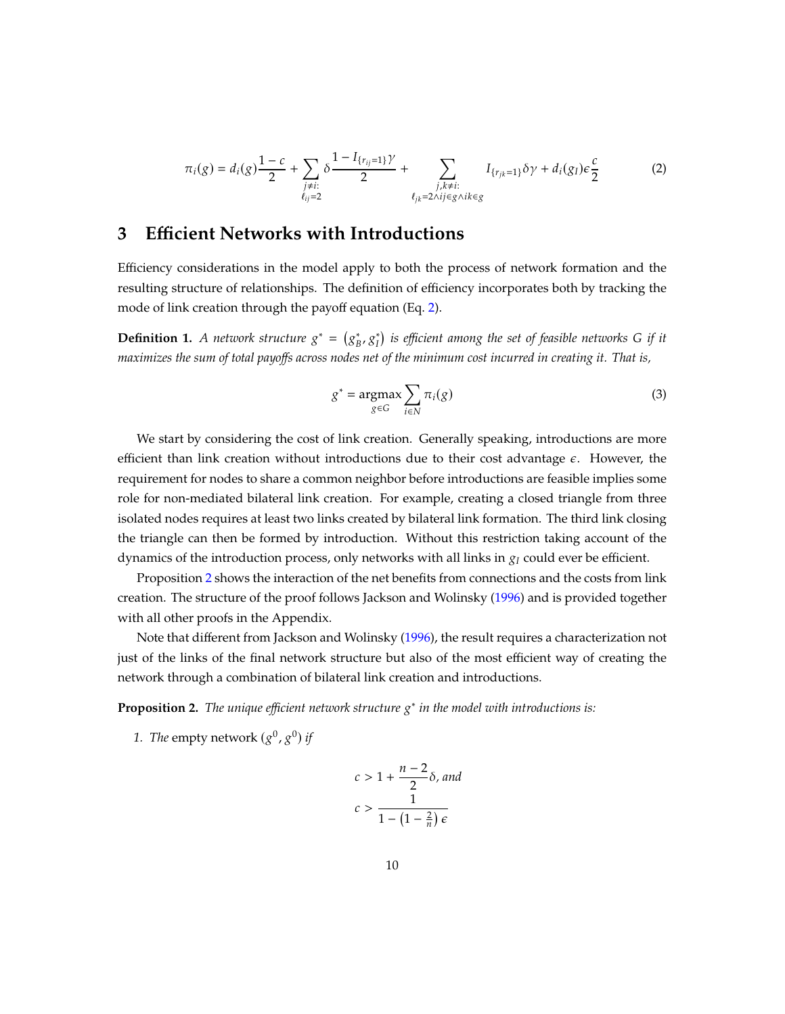$$
\pi_i(g) = d_i(g)\frac{1-c}{2} + \sum_{\substack{j \neq i:\\\ell_{ij}=2}} \delta \frac{1-I_{\{r_{ij}=1\}}\gamma}{2} + \sum_{\substack{j,k \neq i:\\\ell_{jk}=2 \land ij \in g \land ik \in g}} I_{\{r_{jk}=1\}}\delta\gamma + d_i(g_I)\epsilon \frac{c}{2}
$$
(2)

## <span id="page-11-0"></span>**3 Efficient Networks with Introductions**

Efficiency considerations in the model apply to both the process of network formation and the resulting structure of relationships. The definition of efficiency incorporates both by tracking the mode of link creation through the payoff equation (Eq. [2](#page-11-1)).

<span id="page-11-3"></span>**Definition 1.** *A network structure*  $g^* = (g^*_{\tilde{F}})$  *,* <sup>∗</sup> ) *is efficient among the set of feasible networks if it maximizes the sum of total payoffs across nodes net of the minimum cost incurred in creating it. That is,*

<span id="page-11-1"></span>
$$
g^* = \underset{g \in G}{\text{argmax}} \sum_{i \in N} \pi_i(g) \tag{3}
$$

We start by considering the cost of link creation. Generally speaking, introductions are more efficient than link creation without introductions due to their cost advantage  $\varepsilon$ . However, the requirement for nodes to share a common neighbor before introductions are feasible implies some role for non-mediated bilateral link creation. For example, creating a closed triangle from three isolated nodes requires at least two links created by bilateral link formation. The third link closing the triangle can then be formed by introduction. Without this restriction taking account of the dynamics of the introduction process, only networks with all links in  $g_I$  could ever be efficient.

Proposition [2](#page-11-2) shows the interaction of the net benefits from connections and the costs from link creation. The structure of the proof follows Jackson and Wolinsky [\(1996\)](#page-26-4) and is provided together with all other proofs in the Appendix.

Note that different from Jackson and Wolinsky ([1996\)](#page-26-4), the result requires a characterization not just of the links of the final network structure but also of the most efficient way of creating the network through a combination of bilateral link creation and introductions.

<span id="page-11-2"></span>**Proposition 2.** The unique efficient network structure  $g^*$  in the model with introductions is:

1. *The* empty network  $(g^0, g^0)$  *if* 

$$
c > 1 + \frac{n-2}{2}\delta, \text{ and}
$$

$$
c > \frac{1}{1 - (1 - \frac{2}{n})\epsilon}
$$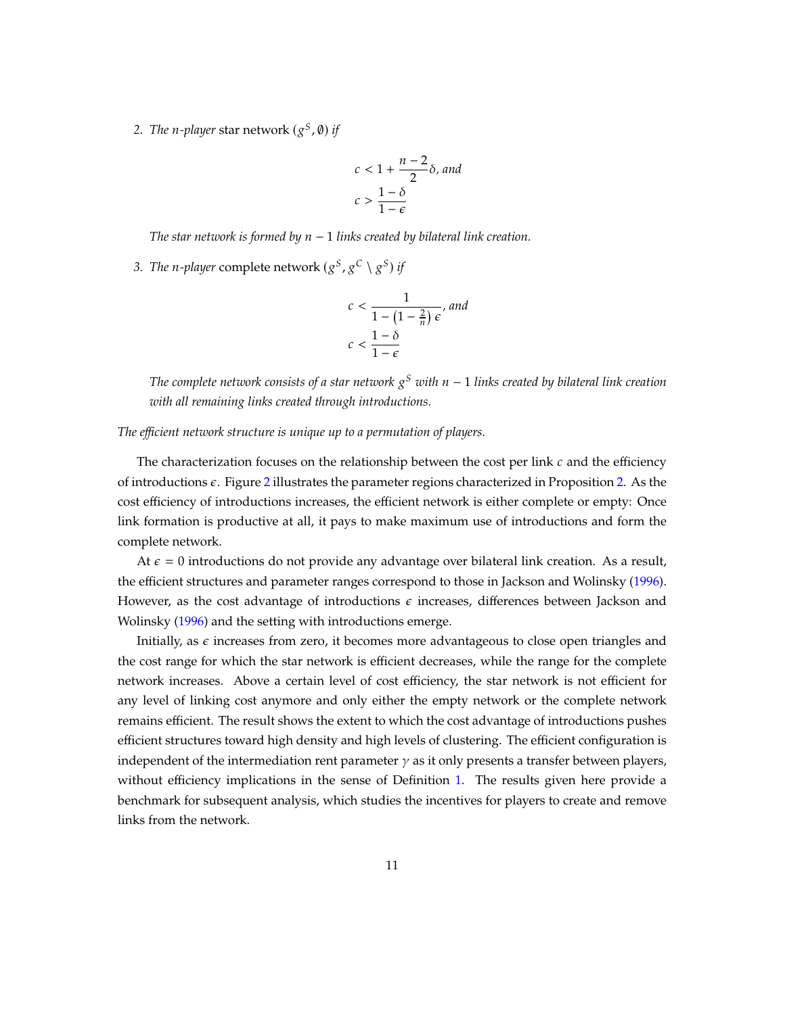2. *The n-player star network*  $(g^S, \emptyset)$  *if* 

$$
c < 1 + \frac{n-2}{2}\delta, \text{ and}
$$
\n
$$
c > \frac{1-\delta}{1-\epsilon}
$$

*The star network is formed by*  $n - 1$  *links created by bilateral link creation.* 

3. *The n-player* complete network  $(g^S, g^C \setminus g^S)$  *if* 

$$
c < \frac{1}{1 - \left(1 - \frac{2}{n}\right)\epsilon}, \text{ and}
$$
\n
$$
c < \frac{1 - \delta}{1 - \epsilon}
$$

*The complete network consists of a star network with* − 1 *links created by bilateral link creation with all remaining links created through introductions.*

*The efficient network structure is unique up to a permutation of players.*

The characterization focuses on the relationship between the cost per link  $c$  and the efficiency of introductions  $\epsilon$ . Figure [2](#page-11-2) illustrates the parameter regions characterized in Proposition 2. As the cost efficiency of introductions increases, the efficient network is either complete or empty: Once link formation is productive at all, it pays to make maximum use of introductions and form the complete network.

At  $\epsilon = 0$  introductions do not provide any advantage over bilateral link creation. As a result, the efficient structures and parameter ranges correspond to those in Jackson and Wolinsky [\(1996](#page-26-4)). However, as the cost advantage of introductions  $\epsilon$  increases, differences between Jackson and Wolinsky [\(1996](#page-26-4)) and the setting with introductions emerge.

Initially, as  $\epsilon$  increases from zero, it becomes more advantageous to close open triangles and the cost range for which the star network is efficient decreases, while the range for the complete network increases. Above a certain level of cost efficiency, the star network is not efficient for any level of linking cost anymore and only either the empty network or the complete network remains efficient. The result shows the extent to which the cost advantage of introductions pushes efficient structures toward high density and high levels of clustering. The efficient configuration is independent of the intermediation rent parameter  $\gamma$  as it only presents a transfer between players, without efficiency implications in the sense of Definition [1](#page-11-3). The results given here provide a benchmark for subsequent analysis, which studies the incentives for players to create and remove links from the network.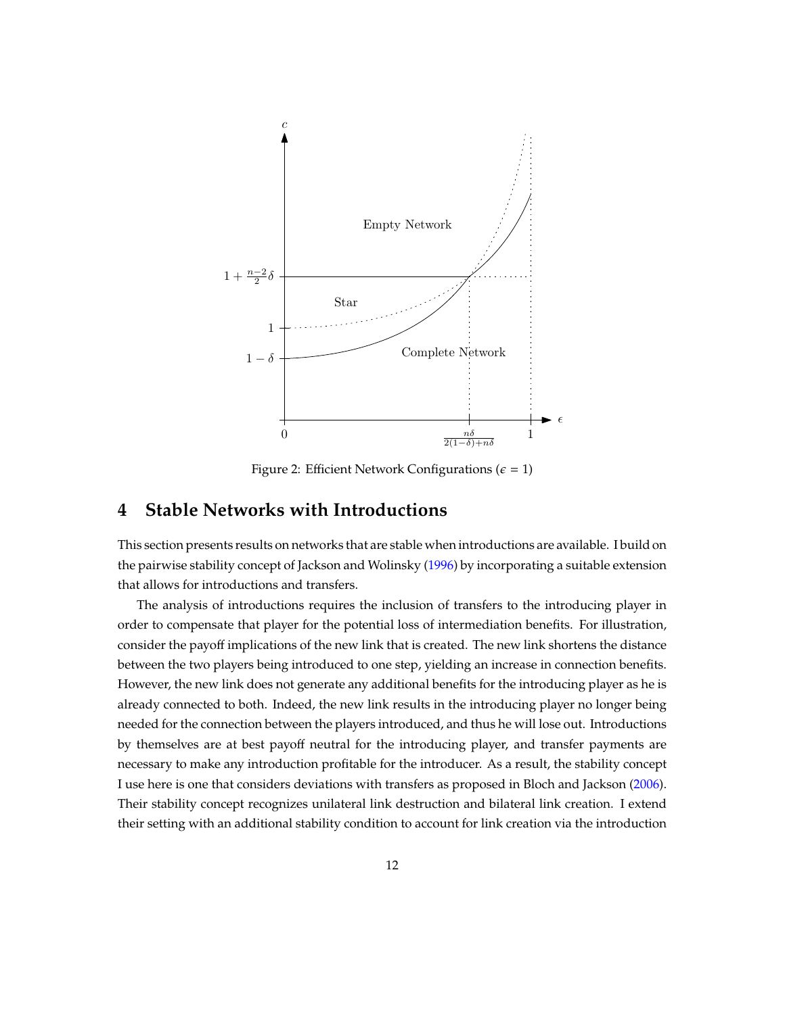<span id="page-13-1"></span>

Figure 2: Efficient Network Configurations ( $\epsilon = 1$ )

### <span id="page-13-0"></span>**4 Stable Networks with Introductions**

This section presents results on networks that are stable when introductions are available. I build on the pairwise stability concept of Jackson and Wolinsky ([1996\)](#page-26-4) by incorporating a suitable extension that allows for introductions and transfers.

The analysis of introductions requires the inclusion of transfers to the introducing player in order to compensate that player for the potential loss of intermediation benefits. For illustration, consider the payoff implications of the new link that is created. The new link shortens the distance between the two players being introduced to one step, yielding an increase in connection benefits. However, the new link does not generate any additional benefits for the introducing player as he is already connected to both. Indeed, the new link results in the introducing player no longer being needed for the connection between the players introduced, and thus he will lose out. Introductions by themselves are at best payoff neutral for the introducing player, and transfer payments are necessary to make any introduction profitable for the introducer. As a result, the stability concept I use here is one that considers deviations with transfers as proposed in Bloch and Jackson [\(2006](#page-25-13)). Their stability concept recognizes unilateral link destruction and bilateral link creation. I extend their setting with an additional stability condition to account for link creation via the introduction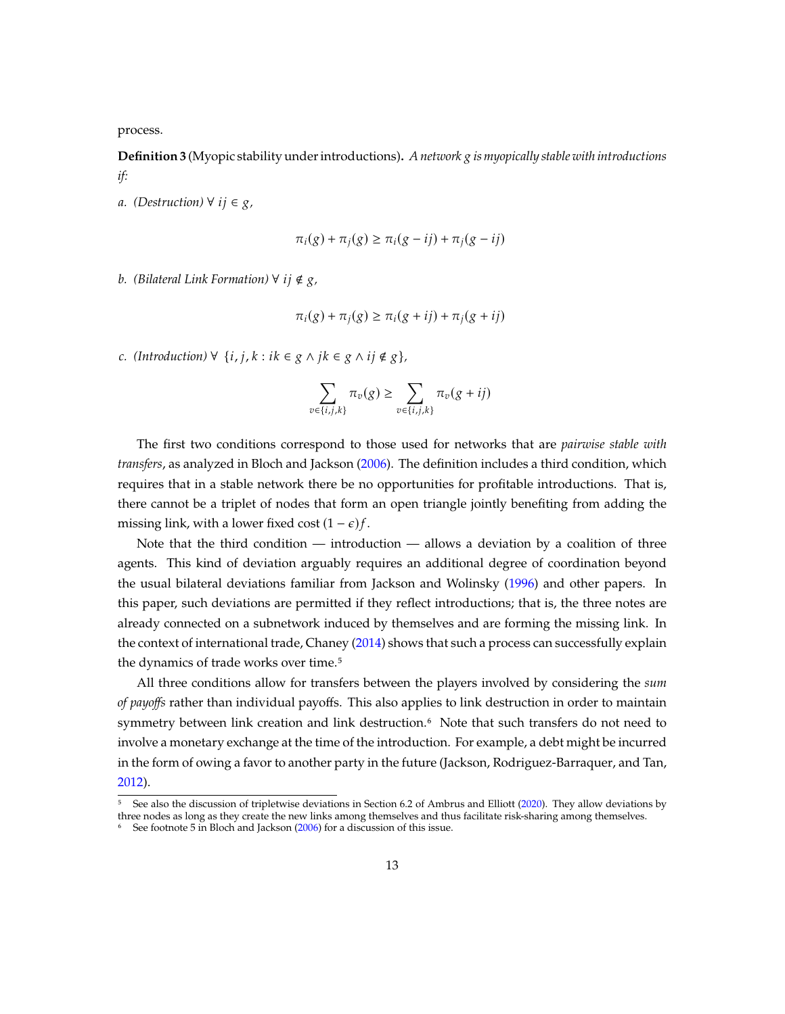process.

<span id="page-14-0"></span>**Definition 3** (Myopic stability under introductions)**.** *A network is myopically stable with introductions if:*

*a.* (Destruction)  $\forall$  *i j* ∈ *g*,

$$
\pi_i(g) + \pi_j(g) \ge \pi_i(g - ij) + \pi_j(g - ij)
$$

*b. (Bilateral Link Formation)*  $∀$  *i*  $≢$  *g*,

$$
\pi_i(g) + \pi_j(g) \ge \pi_i(g + ij) + \pi_j(g + ij)
$$

*c. (Introduction)*  $\forall$  {*i*, *j*, *k* : *ik* ∈ *g*  $\land$  *jk* ∈ *g*  $\land$  *ij* ∉ *g*}

$$
\sum_{v \in \{i,j,k\}} \pi_v(g) \ge \sum_{v \in \{i,j,k\}} \pi_v(g+ij)
$$

The first two conditions correspond to those used for networks that are *pairwise stable with transfers*, as analyzed in Bloch and Jackson ([2006\)](#page-25-13). The definition includes a third condition, which requires that in a stable network there be no opportunities for profitable introductions. That is, there cannot be a triplet of nodes that form an open triangle jointly benefiting from adding the missing link, with a lower fixed cost  $(1 - \epsilon) f$ .

Note that the third condition — introduction — allows a deviation by a coalition of three agents. This kind of deviation arguably requires an additional degree of coordination beyond the usual bilateral deviations familiar from Jackson and Wolinsky ([1996\)](#page-26-4) and other papers. In this paper, such deviations are permitted if they reflect introductions; that is, the three notes are already connected on a subnetwork induced by themselves and are forming the missing link. In the context of international trade, Chaney ([2014\)](#page-25-0) shows that such a process can successfully explain the dynamics of trade works over time.<sup>5</sup>

All three conditions allow for transfers between the players involved by considering the *sum of payoffs* rather than individual payoffs. This also applies to link destruction in order to maintain symmetry between link creation and link destruction.<sup>6</sup> Note that such transfers do not need to involve a monetary exchange at the time of the introduction. For example, a debt might be incurred in the form of owing a favor to another party in the future (Jackson, Rodriguez-Barraquer, and Tan, [2012\)](#page-26-2).

<sup>5</sup> See also the discussion of tripletwise deviations in Section 6.2 of Ambrus and Elliott ([2020\)](#page-25-8). They allow deviations by three nodes as long as they create the new links among themselves and thus facilitate risk-sharing among themselves.

 $6\degree$  See footnote 5 in Bloch and Jackson [\(2006](#page-25-13)) for a discussion of this issue.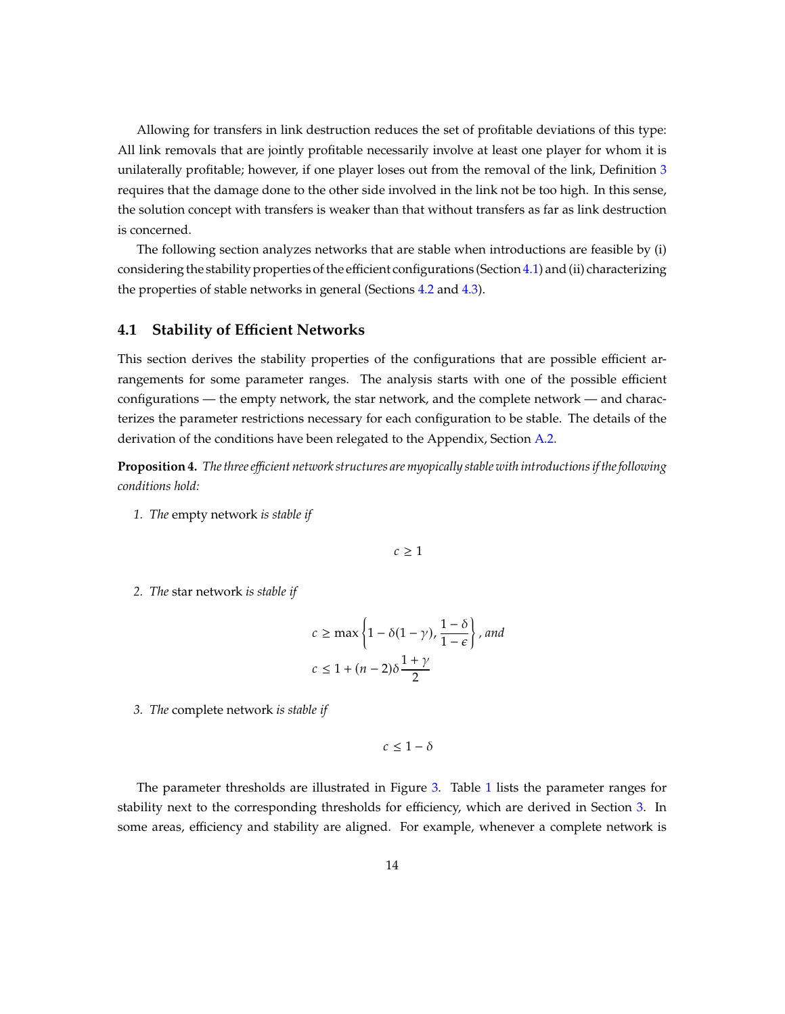Allowing for transfers in link destruction reduces the set of profitable deviations of this type: All link removals that are jointly profitable necessarily involve at least one player for whom it is unilaterally profitable; however, if one player loses out from the removal of the link, Definition [3](#page-14-0) requires that the damage done to the other side involved in the link not be too high. In this sense, the solution concept with transfers is weaker than that without transfers as far as link destruction is concerned.

The following section analyzes networks that are stable when introductions are feasible by (i) considering the stability properties of the efficient configurations (Section [4.1\)](#page-15-0) and (ii) characterizing the properties of stable networks in general (Sections [4.2](#page-17-0) and [4.3\)](#page-18-0).

#### <span id="page-15-0"></span>**4.1 Stability of Efficient Networks**

This section derives the stability properties of the configurations that are possible efficient arrangements for some parameter ranges. The analysis starts with one of the possible efficient configurations — the empty network, the star network, and the complete network — and characterizes the parameter restrictions necessary for each configuration to be stable. The details of the derivation of the conditions have been relegated to the Appendix, Section [A.2.](#page-30-0)

<span id="page-15-1"></span>**Proposition 4.** *The three efficient network structures are myopically stable with introductions if the following conditions hold:*

*1. The* empty network *is stable if*

$$
c\geq 1
$$

*2. The* star network *is stable if*

$$
c \ge \max\left\{1 - \delta(1 - \gamma), \frac{1 - \delta}{1 - \epsilon}\right\}, \text{ and}
$$
  

$$
c \le 1 + (n - 2)\delta \frac{1 + \gamma}{2}
$$

*3. The* complete network *is stable if*

 $c \leq 1 - \delta$ 

The parameter thresholds are illustrated in Figure [3.](#page-16-0) Table [1](#page-17-1) lists the parameter ranges for stability next to the corresponding thresholds for efficiency, which are derived in Section [3.](#page-11-0) In some areas, efficiency and stability are aligned. For example, whenever a complete network is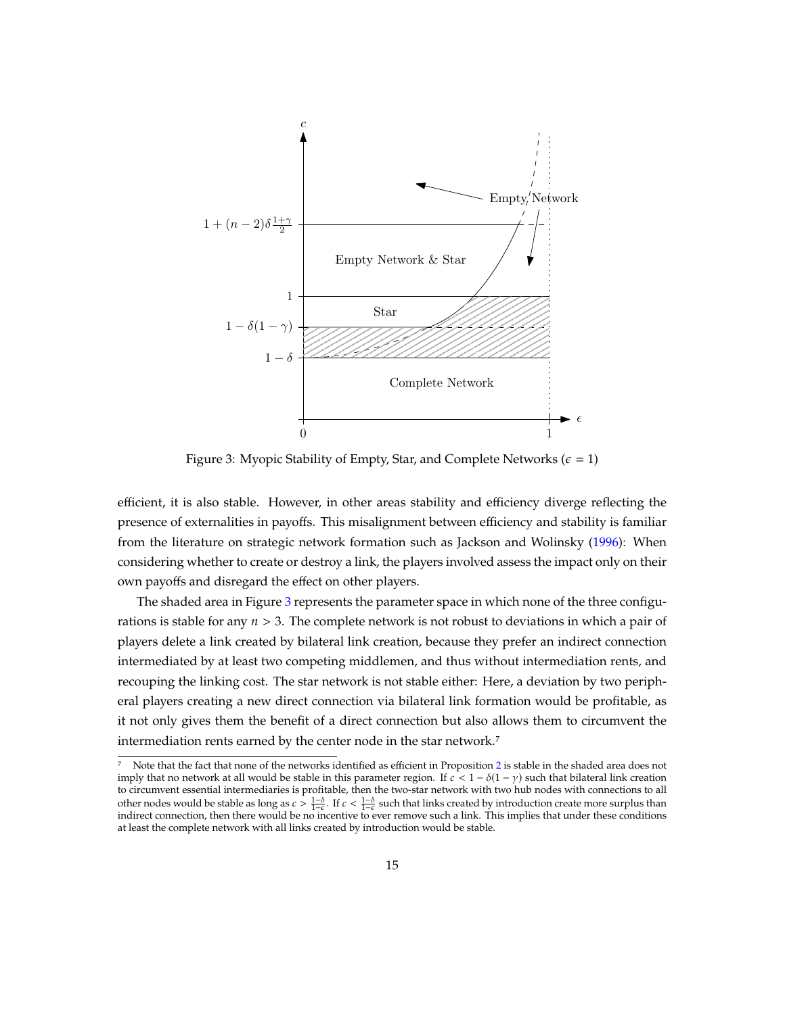<span id="page-16-0"></span>

Figure 3: Myopic Stability of Empty, Star, and Complete Networks ( $\epsilon = 1$ )

efficient, it is also stable. However, in other areas stability and efficiency diverge reflecting the presence of externalities in payoffs. This misalignment between efficiency and stability is familiar from the literature on strategic network formation such as Jackson and Wolinsky ([1996\)](#page-26-4): When considering whether to create or destroy a link, the players involved assess the impact only on their own payoffs and disregard the effect on other players.

The shaded area in Figure [3](#page-16-0) represents the parameter space in which none of the three configurations is stable for any  $n > 3$ . The complete network is not robust to deviations in which a pair of players delete a link created by bilateral link creation, because they prefer an indirect connection intermediated by at least two competing middlemen, and thus without intermediation rents, and recouping the linking cost. The star network is not stable either: Here, a deviation by two peripheral players creating a new direct connection via bilateral link formation would be profitable, as it not only gives them the benefit of a direct connection but also allows them to circumvent the intermediation rents earned by the center node in the star network.7

<sup>7</sup>  Note that the fact that none of the networks identified as efficient in Proposition [2](#page-11-2) is stable in the shaded area does not imply that no network at all would be stable in this parameter region. If  $c < 1 - \delta(1 - \gamma)$  such that bilateral link creation to circumvent essential intermediaries is profitable, then the two-star network with two hub nodes with connections to all other nodes would be stable as long as  $c > \frac{1-\delta}{1-\epsilon}$ . If  $c < \frac{1-\delta}{1-\epsilon}$  such that links created by introduction create more surplus than indirect connection, then there would be no incentive to ever remove such a link. This implies that under these conditions at least the complete network with all links created by introduction would be stable.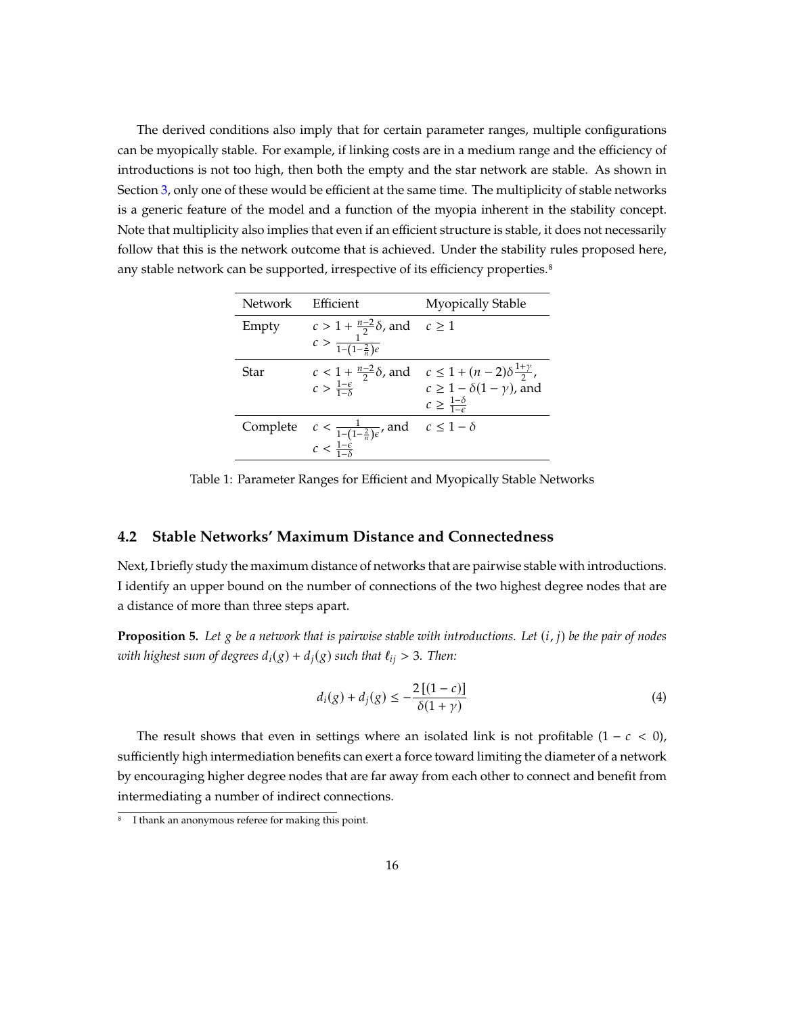The derived conditions also imply that for certain parameter ranges, multiple configurations can be myopically stable. For example, if linking costs are in a medium range and the efficiency of introductions is not too high, then both the empty and the star network are stable. As shown in Section [3,](#page-11-0) only one of these would be efficient at the same time. The multiplicity of stable networks is a generic feature of the model and a function of the myopia inherent in the stability concept. Note that multiplicity also implies that even if an efficient structure is stable, it does not necessarily follow that this is the network outcome that is achieved. Under the stability rules proposed here, any stable network can be supported, irrespective of its efficiency properties.<sup>8</sup>

<span id="page-17-1"></span>

| Network  | Efficient                                       | <b>Myopically Stable</b>                      |
|----------|-------------------------------------------------|-----------------------------------------------|
| Empty    | $c > 1 + \frac{n-2}{2}\delta$ , and $c \ge 1$   |                                               |
|          | $c > \frac{1}{1-(1-\frac{2}{\pi})\epsilon}$     |                                               |
| Star     | $c < 1 + \frac{n-2}{2}\delta$ , and             | $c \leq 1 + (n-2)\delta^{\frac{1+\gamma}{2}}$ |
|          | $c > \frac{1-\epsilon}{1-\delta}$               | $c \geq 1 - \delta(1 - \gamma)$ , and         |
|          |                                                 | $c \geq \frac{1-\delta}{1-\epsilon}$          |
| Complete | $c < \frac{1}{1-(1-\frac{2}{n})\epsilon}$ , and | $c \leq 1-\delta$                             |
|          | $c < \frac{1-\hat{\epsilon}}{1-\hat{\epsilon}}$ |                                               |

Table 1: Parameter Ranges for Efficient and Myopically Stable Networks

### <span id="page-17-0"></span>**4.2 Stable Networks' Maximum Distance and Connectedness**

Next, I briefly study the maximum distance of networks that are pairwise stable with introductions. I identify an upper bound on the number of connections of the two highest degree nodes that are a distance of more than three steps apart.

<span id="page-17-2"></span>**Proposition 5.** Let  $g$  be a network that is pairwise stable with introductions. Let  $(i, j)$  be the pair of nodes *with highest sum of degrees*  $d_i(g) + d_j(g)$  *such that*  $\ell_{ij} > 3$ *. Then:* 

<span id="page-17-3"></span>
$$
d_i(g) + d_j(g) \le -\frac{2\left[ (1 - c) \right]}{\delta(1 + \gamma)}
$$
\n(4)

The result shows that even in settings where an isolated link is not profitable  $(1 - c < 0)$ , sufficiently high intermediation benefits can exert a force toward limiting the diameter of a network by encouraging higher degree nodes that are far away from each other to connect and benefit from intermediating a number of indirect connections.

<sup>&</sup>lt;sup>8</sup> I thank an anonymous referee for making this point.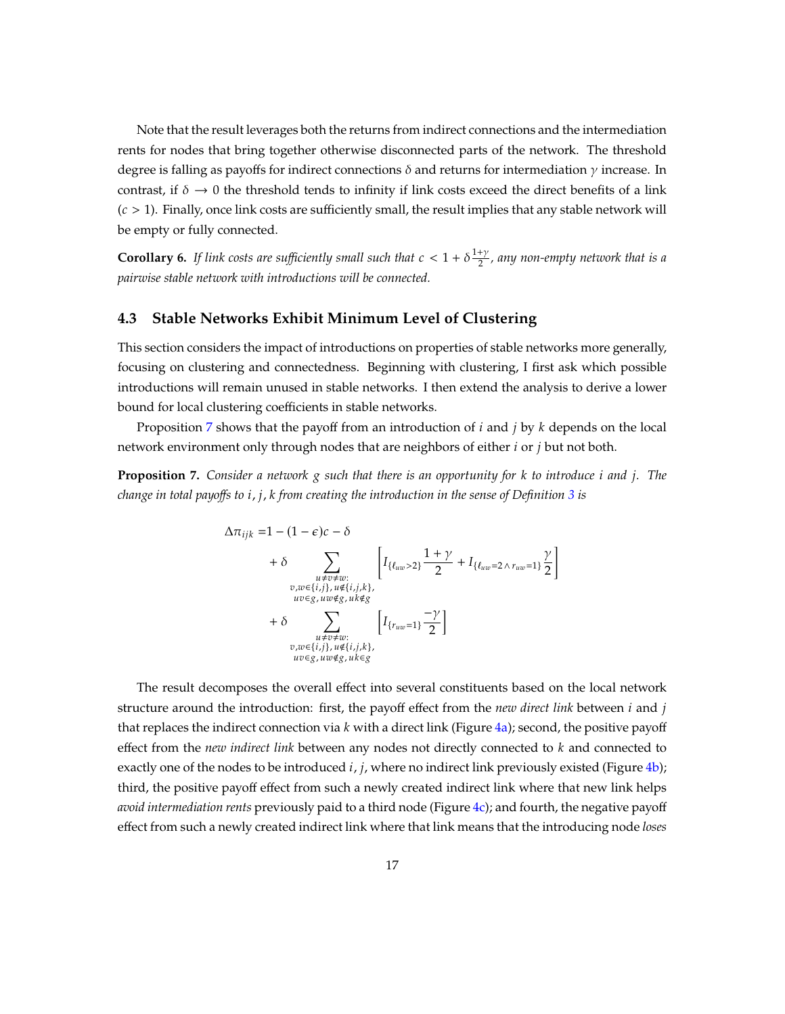Note that the result leverages both the returns from indirect connections and the intermediation rents for nodes that bring together otherwise disconnected parts of the network. The threshold degree is falling as payoffs for indirect connections  $\delta$  and returns for intermediation  $\gamma$  increase. In contrast, if  $\delta \to 0$  the threshold tends to infinity if link costs exceed the direct benefits of a link  $(c > 1)$ . Finally, once link costs are sufficiently small, the result implies that any stable network will be empty or fully connected.

**Corollary 6.** If link costs are sufficiently small such that  $c < 1 + \delta \frac{1+\gamma}{2}$  $\frac{17}{2}$ , any non-empty network that is a *pairwise stable network with introductions will be connected.*

### <span id="page-18-0"></span>**4.3 Stable Networks Exhibit Minimum Level of Clustering**

This section considers the impact of introductions on properties of stable networks more generally, focusing on clustering and connectedness. Beginning with clustering, I first ask which possible introductions will remain unused in stable networks. I then extend the analysis to derive a lower bound for local clustering coefficients in stable networks.

Proposition [7](#page-18-1) shows that the payoff from an introduction of  $i$  and  $j$  by  $k$  depends on the local network environment only through nodes that are neighbors of either  $i$  or  $j$  but not both.

<span id="page-18-1"></span>**Proposition 7.** *Consider a network such that there is an opportunity for to introduce and . The change in total payoffs to , , from creating the introduction in the sense of Definition [3](#page-14-0) is*

$$
\Delta \pi_{ijk} = 1 - (1 - \epsilon)c - \delta
$$
  
+ 
$$
\delta \sum_{\substack{u \neq v \neq w:\\v,w \in \{i,j\}, u \notin \{i,j,k\}, \\ uv \in g, uv \notin g, u \neq g}} \left[ I_{\{\ell_{uw} > 2\}} \frac{1 + \gamma}{2} + I_{\{\ell_{uw} = 2 \land r_{uw} = 1\}} \frac{\gamma}{2} \right]
$$
  
+ 
$$
\delta \sum_{\substack{u \neq v \neq w:\\v,w \in \{i,j\}, u \notin \{i,j,k\}, \\ uv \in g, uv \notin g, u \neq g}} \left[ I_{\{r_{uw} = 1\}} \frac{-\gamma}{2} \right]
$$

The result decomposes the overall effect into several constituents based on the local network structure around the introduction: first, the payoff effect from the *new direct link* between  $i$  and  $j$ that replaces the indirect connection via  $k$  with a direct link (Figure [4a](#page-19-0)); second, the positive payoff effect from the *new indirect link* between any nodes not directly connected to k and connected to exactly one of the nodes to be introduced *i*, *j*, where no indirect link previously existed (Figure [4b](#page-19-0)); third, the positive payoff effect from such a newly created indirect link where that new link helps *avoid intermediation rents* previously paid to a third node (Figure [4c](#page-19-0)); and fourth, the negative payoff effect from such a newly created indirect link where that link means that the introducing node *loses*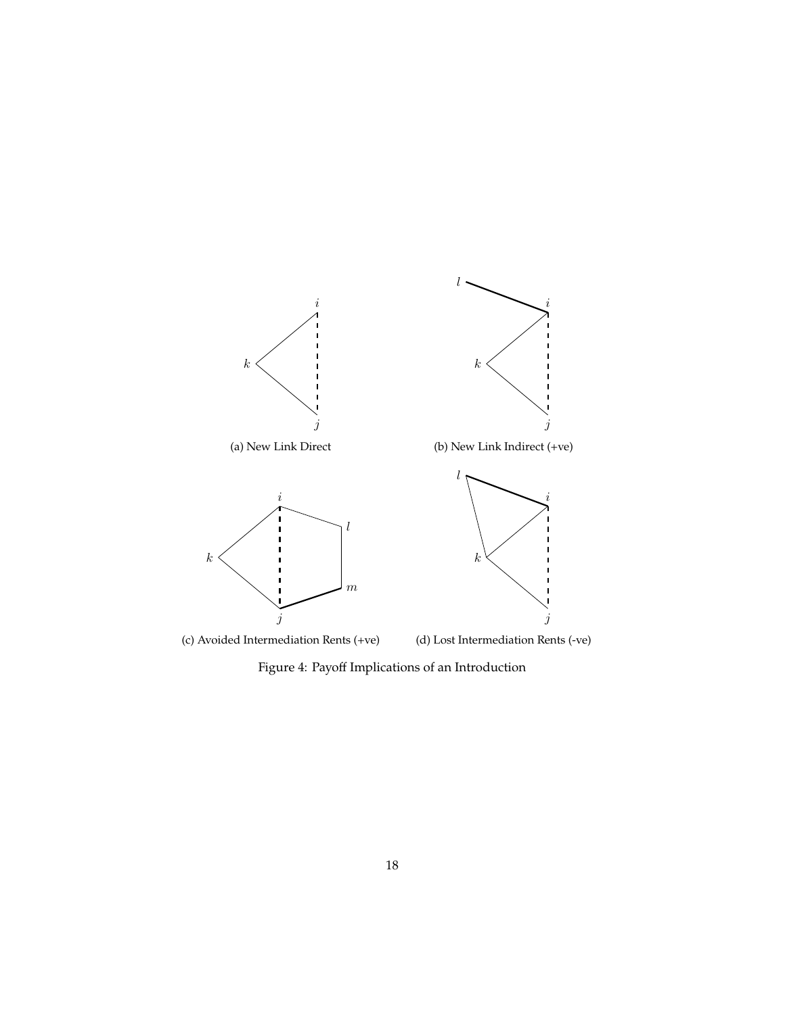<span id="page-19-0"></span>

Figure 4: Payoff Implications of an Introduction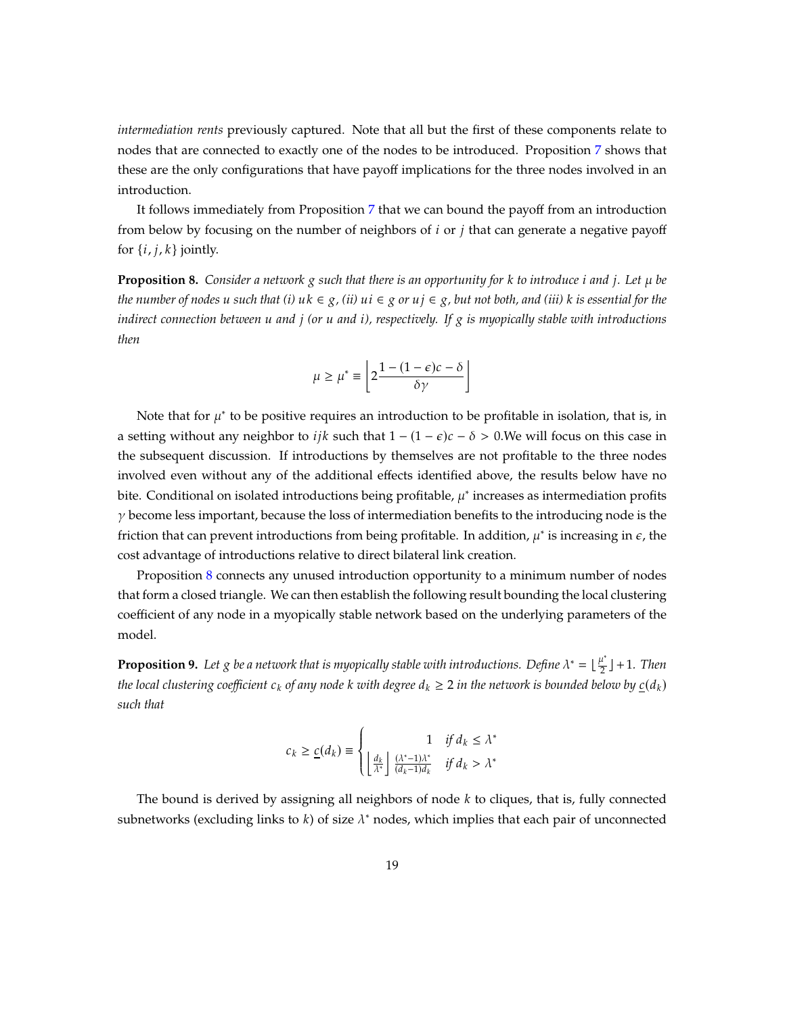*intermediation rents* previously captured. Note that all but the first of these components relate to nodes that are connected to exactly one of the nodes to be introduced. Proposition [7](#page-18-1) shows that these are the only configurations that have payoff implications for the three nodes involved in an introduction.

It follows immediately from Proposition [7](#page-18-1) that we can bound the payoff from an introduction from below by focusing on the number of neighbors of  $i$  or  $j$  that can generate a negative payoff for  $\{i, j, k\}$  jointly.

<span id="page-20-0"></span>**Proposition 8.** Consider a network g such that there is an opportunity for k to introduce *i* and *j*. Let  $\mu$  be *the number of nodes u such that (i)*  $uk \in \mathfrak{g}$ ,  $(ii)$   $ui \in \mathfrak{g}$  or  $ui \in \mathfrak{g}$ , but not both, and (iii) k is essential for the *indirect connection between and (or and ), respectively. If is myopically stable with introductions then*

$$
\mu \geq \mu^* \equiv \left\lfloor 2 \frac{1-(1-\epsilon)c - \delta}{\delta \gamma} \right\rfloor
$$

Note that for  $\mu^*$  to be positive requires an introduction to be profitable in isolation, that is, in a setting without any neighbor to *i* jk such that  $1 - (1 - \epsilon)c - \delta > 0$ . We will focus on this case in the subsequent discussion. If introductions by themselves are not profitable to the three nodes involved even without any of the additional effects identified above, the results below have no bite. Conditional on isolated introductions being profitable,  $\mu^*$  increases as intermediation profits  $\gamma$  become less important, because the loss of intermediation benefits to the introducing node is the friction that can prevent introductions from being profitable. In addition,  $\mu^*$  is increasing in  $\epsilon$ , the cost advantage of introductions relative to direct bilateral link creation.

Proposition [8](#page-20-0) connects any unused introduction opportunity to a minimum number of nodes that form a closed triangle. We can then establish the following result bounding the local clustering coefficient of any node in a myopically stable network based on the underlying parameters of the model.

<span id="page-20-1"></span>**Proposition 9.** Let g be a network that is myopically stable with introductions. Define  $\lambda^* = \lfloor \frac{\mu^*}{2} \rfloor$  $\frac{1}{2}$   $\rfloor$  + 1. Then *the local clustering coefficient*  $c_k$  *of any node*  $k$  *with degree*  $d_k \geq 2$  *in the network is bounded below by*  $\underline{c}(d_k)$ *such that*

$$
c_k \geq \underline{c}(d_k) \equiv \begin{cases} 1 & \text{if } d_k \leq \lambda^* \\ \frac{d_k}{\lambda^*} \frac{\lambda^* - 1}{\lambda^*} & \text{if } d_k > \lambda^* \end{cases}
$$

The bound is derived by assigning all neighbors of node  $k$  to cliques, that is, fully connected subnetworks (excluding links to  $k$ ) of size  $\lambda^*$  nodes, which implies that each pair of unconnected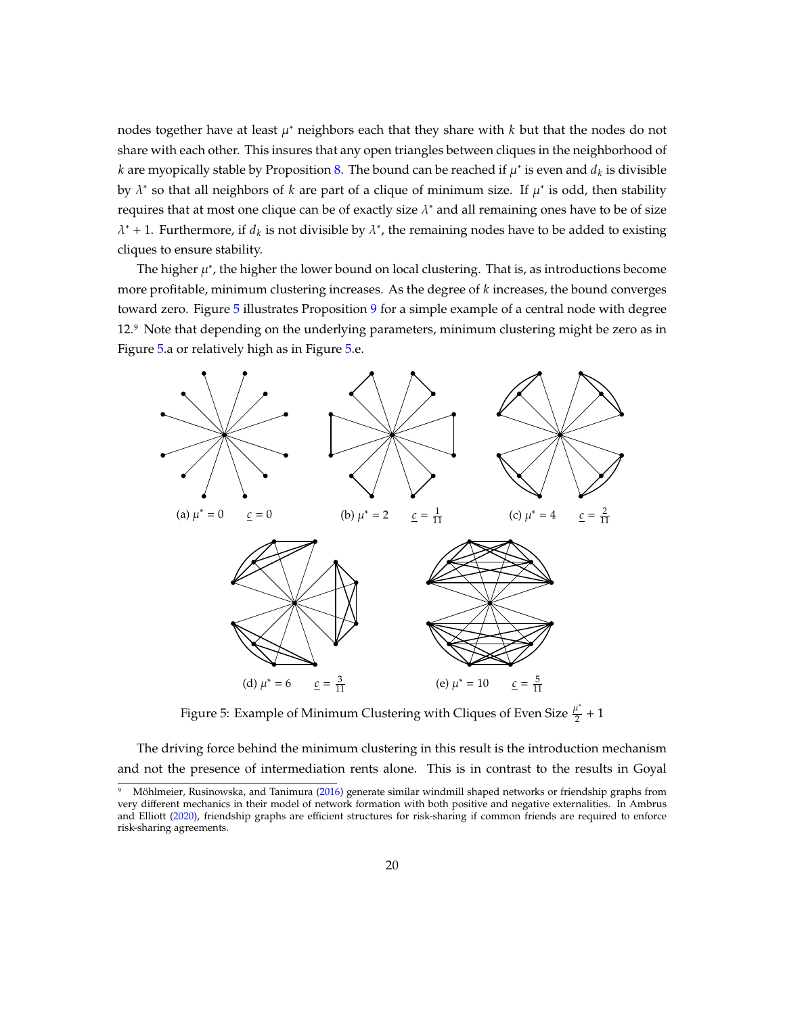nodes together have at least  $\mu^*$  neighbors each that they share with  $k$  but that the nodes do not share with each other. This insures that any open triangles between cliques in the neighborhood of k are myopically stable by Proposition [8.](#page-20-0) The bound can be reached if  $\mu^*$  is even and  $d_k$  is divisible by  $\lambda^*$  so that all neighbors of k are part of a clique of minimum size. If  $\mu^*$  is odd, then stability requires that at most one clique can be of exactly size  $\lambda^*$  and all remaining ones have to be of size  $\lambda^*$  + 1. Furthermore, if  $d_k$  is not divisible by  $\lambda^*$ , the remaining nodes have to be added to existing cliques to ensure stability.

The higher  $\mu^*$ , the higher the lower bound on local clustering. That is, as introductions become more profitable, minimum clustering increases. As the degree of  $k$  increases, the bound converges toward zero. Figure [5](#page-21-0) illustrates Proposition [9](#page-20-1) for a simple example of a central node with degree 12.9 Note that depending on the underlying parameters, minimum clustering might be zero as in Figure [5.](#page-21-0)a or relatively high as in Figure [5](#page-21-0).e.

<span id="page-21-0"></span>

Figure 5: Example of Minimum Clustering with Cliques of Even Size  $\frac{\mu^*}{2}$  $rac{1}{2}+1$ 

The driving force behind the minimum clustering in this result is the introduction mechanism and not the presence of intermediation rents alone. This is in contrast to the results in Goyal

<sup>9</sup> Möhlmeier, Rusinowska, and Tanimura [\(2016](#page-27-12)) generate similar windmill shaped networks or friendship graphs from very different mechanics in their model of network formation with both positive and negative externalities. In Ambrus and Elliott [\(2020](#page-25-8)), friendship graphs are efficient structures for risk-sharing if common friends are required to enforce risk-sharing agreements.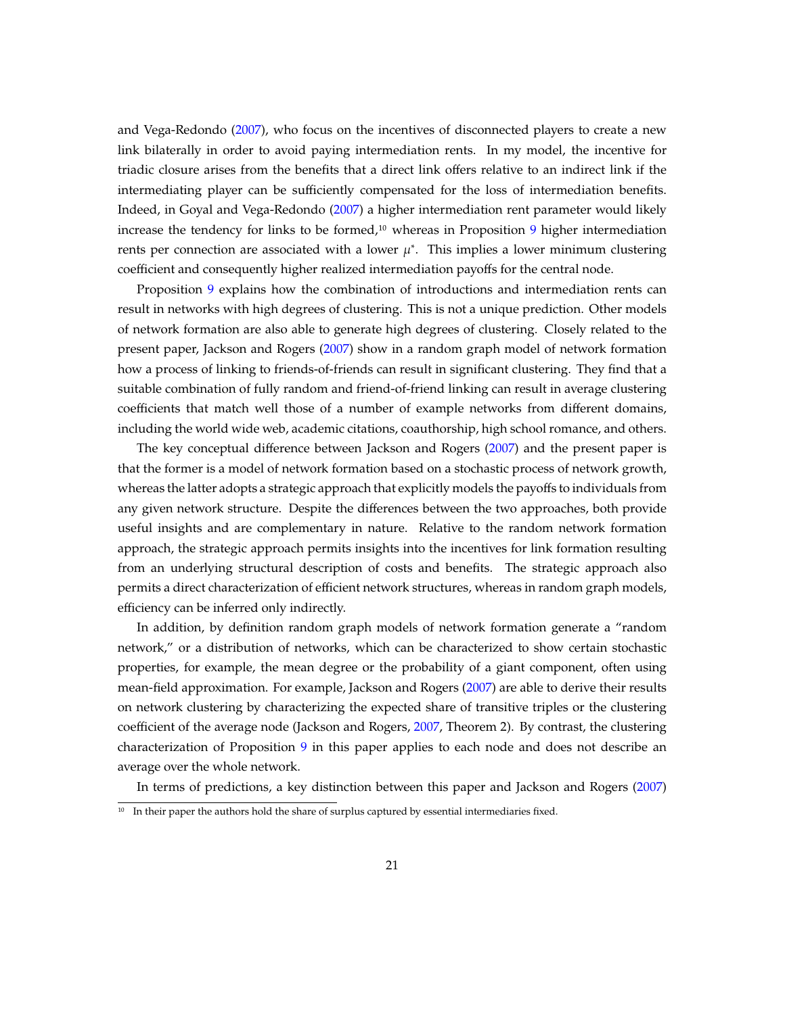and Vega-Redondo ([2007\)](#page-26-6), who focus on the incentives of disconnected players to create a new link bilaterally in order to avoid paying intermediation rents. In my model, the incentive for triadic closure arises from the benefits that a direct link offers relative to an indirect link if the intermediating player can be sufficiently compensated for the loss of intermediation benefits. Indeed, in Goyal and Vega-Redondo [\(2007](#page-26-6)) a higher intermediation rent parameter would likely increase the tendency for links to be formed, $10$  whereas in Proposition [9](#page-20-1) higher intermediation rents per connection are associated with a lower  $\mu^*$ . This implies a lower minimum clustering coefficient and consequently higher realized intermediation payoffs for the central node.

Proposition [9](#page-20-1) explains how the combination of introductions and intermediation rents can result in networks with high degrees of clustering. This is not a unique prediction. Other models of network formation are also able to generate high degrees of clustering. Closely related to the present paper, Jackson and Rogers ([2007](#page-26-8)) show in a random graph model of network formation how a process of linking to friends-of-friends can result in significant clustering. They find that a suitable combination of fully random and friend-of-friend linking can result in average clustering coefficients that match well those of a number of example networks from different domains, including the world wide web, academic citations, coauthorship, high school romance, and others.

The key conceptual difference between Jackson and Rogers ([2007\)](#page-26-8) and the present paper is that the former is a model of network formation based on a stochastic process of network growth, whereas the latter adopts a strategic approach that explicitly models the payoffs to individuals from any given network structure. Despite the differences between the two approaches, both provide useful insights and are complementary in nature. Relative to the random network formation approach, the strategic approach permits insights into the incentives for link formation resulting from an underlying structural description of costs and benefits. The strategic approach also permits a direct characterization of efficient network structures, whereas in random graph models, efficiency can be inferred only indirectly.

In addition, by definition random graph models of network formation generate a "random network," or a distribution of networks, which can be characterized to show certain stochastic properties, for example, the mean degree or the probability of a giant component, often using mean-field approximation. For example, Jackson and Rogers ([2007\)](#page-26-8) are able to derive their results on network clustering by characterizing the expected share of transitive triples or the clustering coefficient of the average node (Jackson and Rogers, [2007,](#page-26-8) Theorem 2). By contrast, the clustering characterization of Proposition  $9$  in this paper applies to each node and does not describe an average over the whole network.

In terms of predictions, a key distinction between this paper and Jackson and Rogers ([2007\)](#page-26-8)

<sup>&</sup>lt;sup>10</sup> In their paper the authors hold the share of surplus captured by essential intermediaries fixed.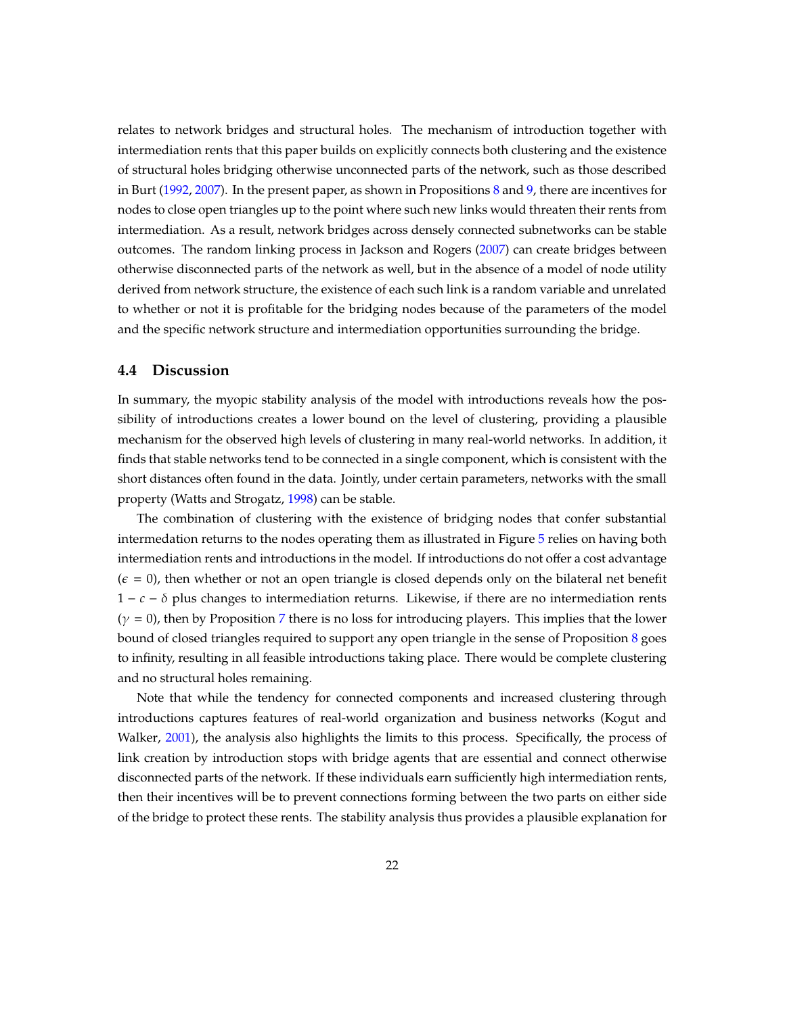relates to network bridges and structural holes. The mechanism of introduction together with intermediation rents that this paper builds on explicitly connects both clustering and the existence of structural holes bridging otherwise unconnected parts of the network, such as those described in Burt [\(1992](#page-25-2), [2007](#page-25-11)). In the present paper, as shown in Propositions [8](#page-20-0) and [9,](#page-20-1) there are incentives for nodes to close open triangles up to the point where such new links would threaten their rents from intermediation. As a result, network bridges across densely connected subnetworks can be stable outcomes. The random linking process in Jackson and Rogers [\(2007](#page-26-8)) can create bridges between otherwise disconnected parts of the network as well, but in the absence of a model of node utility derived from network structure, the existence of each such link is a random variable and unrelated to whether or not it is profitable for the bridging nodes because of the parameters of the model and the specific network structure and intermediation opportunities surrounding the bridge.

#### **4.4 Discussion**

In summary, the myopic stability analysis of the model with introductions reveals how the possibility of introductions creates a lower bound on the level of clustering, providing a plausible mechanism for the observed high levels of clustering in many real-world networks. In addition, it finds that stable networks tend to be connected in a single component, which is consistent with the short distances often found in the data. Jointly, under certain parameters, networks with the small property (Watts and Strogatz, [1998](#page-27-7)) can be stable.

The combination of clustering with the existence of bridging nodes that confer substantial intermedation returns to the nodes operating them as illustrated in Figure [5](#page-21-0) relies on having both intermediation rents and introductions in the model. If introductions do not offer a cost advantage  $(\epsilon = 0)$ , then whether or not an open triangle is closed depends only on the bilateral net benefit  $1 - c - \delta$  plus changes to intermediation returns. Likewise, if there are no intermediation rents  $(y = 0)$ , then by Proposition [7](#page-18-1) there is no loss for introducing players. This implies that the lower bound of closed triangles required to support any open triangle in the sense of Proposition [8](#page-20-0) goes to infinity, resulting in all feasible introductions taking place. There would be complete clustering and no structural holes remaining.

Note that while the tendency for connected components and increased clustering through introductions captures features of real-world organization and business networks (Kogut and Walker, [2001](#page-26-0)), the analysis also highlights the limits to this process. Specifically, the process of link creation by introduction stops with bridge agents that are essential and connect otherwise disconnected parts of the network. If these individuals earn sufficiently high intermediation rents, then their incentives will be to prevent connections forming between the two parts on either side of the bridge to protect these rents. The stability analysis thus provides a plausible explanation for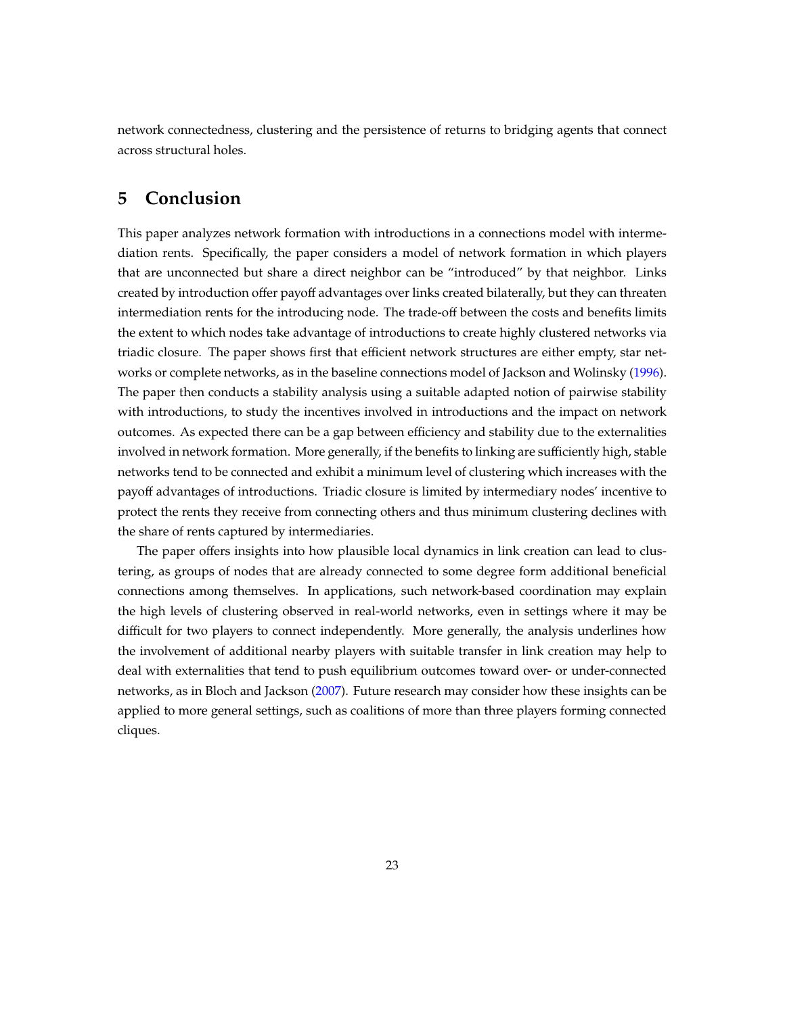network connectedness, clustering and the persistence of returns to bridging agents that connect across structural holes.

## <span id="page-24-0"></span>**5 Conclusion**

This paper analyzes network formation with introductions in a connections model with intermediation rents. Specifically, the paper considers a model of network formation in which players that are unconnected but share a direct neighbor can be "introduced" by that neighbor. Links created by introduction offer payoff advantages over links created bilaterally, but they can threaten intermediation rents for the introducing node. The trade-off between the costs and benefits limits the extent to which nodes take advantage of introductions to create highly clustered networks via triadic closure. The paper shows first that efficient network structures are either empty, star networks or complete networks, as in the baseline connections model of Jackson and Wolinsky [\(1996](#page-26-4)). The paper then conducts a stability analysis using a suitable adapted notion of pairwise stability with introductions, to study the incentives involved in introductions and the impact on network outcomes. As expected there can be a gap between efficiency and stability due to the externalities involved in network formation. More generally, if the benefits to linking are sufficiently high, stable networks tend to be connected and exhibit a minimum level of clustering which increases with the payoff advantages of introductions. Triadic closure is limited by intermediary nodes' incentive to protect the rents they receive from connecting others and thus minimum clustering declines with the share of rents captured by intermediaries.

The paper offers insights into how plausible local dynamics in link creation can lead to clustering, as groups of nodes that are already connected to some degree form additional beneficial connections among themselves. In applications, such network-based coordination may explain the high levels of clustering observed in real-world networks, even in settings where it may be difficult for two players to connect independently. More generally, the analysis underlines how the involvement of additional nearby players with suitable transfer in link creation may help to deal with externalities that tend to push equilibrium outcomes toward over- or under-connected networks, as in Bloch and Jackson [\(2007](#page-25-10)). Future research may consider how these insights can be applied to more general settings, such as coalitions of more than three players forming connected cliques.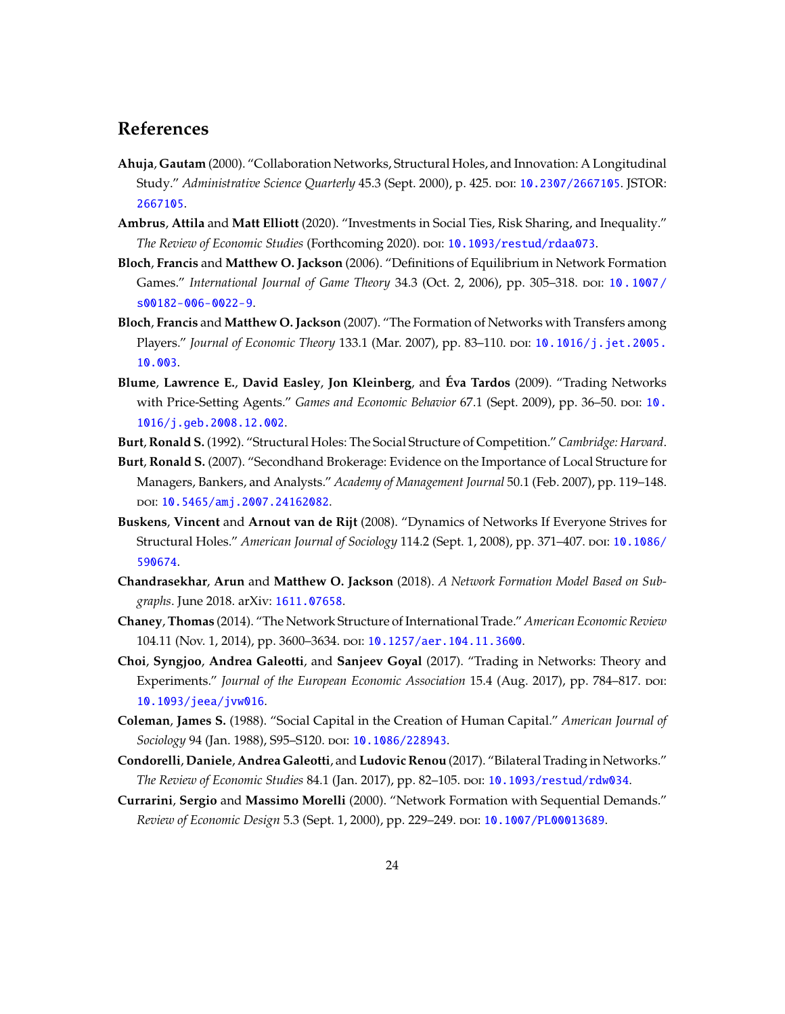## **References**

- <span id="page-25-3"></span>**Ahuja**, **Gautam** (2000). "Collaboration Networks, Structural Holes, and Innovation: A Longitudinal Study." *Administrative Science Quarterly* 45.3 (Sept. 2000), p. 425. doi: [10.2307/2667105](https://doi.org/10.2307/2667105). JSTOR: [2667105](http://www.jstor.org/stable/2667105).
- <span id="page-25-8"></span>**Ambrus**, **Attila** and **Matt Elliott** (2020). "Investments in Social Ties, Risk Sharing, and Inequality." *The Review of Economic Studies* (Forthcoming 2020). doi: [10.1093/restud/rdaa073](https://doi.org/10.1093/restud/rdaa073).
- <span id="page-25-13"></span>**Bloch**, **Francis** and **Matthew O. Jackson** (2006). "Definitions of Equilibrium in Network Formation Games." *International Journal of Game Theory* 34.3 (Oct. 2, 2006), pp. 305-318. DOI: [10 . 1007 /](https://doi.org/10.1007/s00182-006-0022-9) [s00182-006-0022-9](https://doi.org/10.1007/s00182-006-0022-9).
- <span id="page-25-10"></span>**Bloch**, **Francis** and **Matthew O. Jackson** (2007). "The Formation of Networks with Transfers among Players." *Journal of Economic Theory* 133.1 (Mar. 2007), pp. 83-110. poi: [10.1016/j.jet.2005.](https://doi.org/10.1016/j.jet.2005.10.003) [10.003](https://doi.org/10.1016/j.jet.2005.10.003).
- <span id="page-25-4"></span>**Blume**, **Lawrence E.**, **David Easley**, **Jon Kleinberg**, and **Éva Tardos** (2009). "Trading Networks with Price-Setting Agents." *Games and Economic Behavior* 67.1 (Sept. 2009), pp. 36–50. por: [10.](https://doi.org/10.1016/j.geb.2008.12.002) [1016/j.geb.2008.12.002](https://doi.org/10.1016/j.geb.2008.12.002).
- <span id="page-25-2"></span>**Burt**, **Ronald S.** (1992). "Structural Holes: The Social Structure of Competition." *Cambridge: Harvard*.
- <span id="page-25-11"></span>**Burt**, **Ronald S.** (2007). "Secondhand Brokerage: Evidence on the Importance of Local Structure for Managers, Bankers, and Analysts." *Academy of Management Journal* 50.1 (Feb. 2007), pp. 119–148. doi: [10.5465/amj.2007.24162082](https://doi.org/10.5465/amj.2007.24162082).
- <span id="page-25-7"></span>**Buskens**, **Vincent** and **Arnout van de Rijt** (2008). "Dynamics of Networks If Everyone Strives for Structural Holes." *American Journal of Sociology* 114.2 (Sept. 1, 2008), pp. 371-407. poi: [10.1086/](https://doi.org/10.1086/590674) [590674](https://doi.org/10.1086/590674).
- <span id="page-25-6"></span>**Chandrasekhar**, **Arun** and **Matthew O. Jackson** (2018). *A Network Formation Model Based on Subgraphs*. June 2018. arXiv: [1611.07658](https://arxiv.org/abs/1611.07658).
- <span id="page-25-0"></span>**Chaney**, **Thomas** (2014). "The Network Structure of International Trade." *American Economic Review* 104.11 (Nov. 1, 2014), pp. 3600–3634. doi: [10.1257/aer.104.11.3600](https://doi.org/10.1257/aer.104.11.3600).
- <span id="page-25-12"></span>**Choi**, **Syngjoo**, **Andrea Galeotti**, and **Sanjeev Goyal** (2017). "Trading in Networks: Theory and Experiments." *Journal of the European Economic Association* 15.4 (Aug. 2017), pp. 784–817. poi: [10.1093/jeea/jvw016](https://doi.org/10.1093/jeea/jvw016).
- <span id="page-25-1"></span>**Coleman**, **James S.** (1988). "Social Capital in the Creation of Human Capital." *American Journal of* Sociology 94 (Jan. 1988), S95-S120. poi: [10.1086/228943](https://doi.org/10.1086/228943).
- <span id="page-25-5"></span>**Condorelli**, **Daniele**, **Andrea Galeotti**, and **Ludovic Renou** (2017). "Bilateral Trading in Networks." *The Review of Economic Studies* 84.1 (Jan. 2017), pp. 82–105. doi: [10.1093/restud/rdw034](https://doi.org/10.1093/restud/rdw034).
- <span id="page-25-9"></span>**Currarini**, **Sergio** and **Massimo Morelli** (2000). "Network Formation with Sequential Demands." *Review of Economic Design* 5.3 (Sept. 1, 2000), pp. 229–249. doi: [10.1007/PL00013689](https://doi.org/10.1007/PL00013689).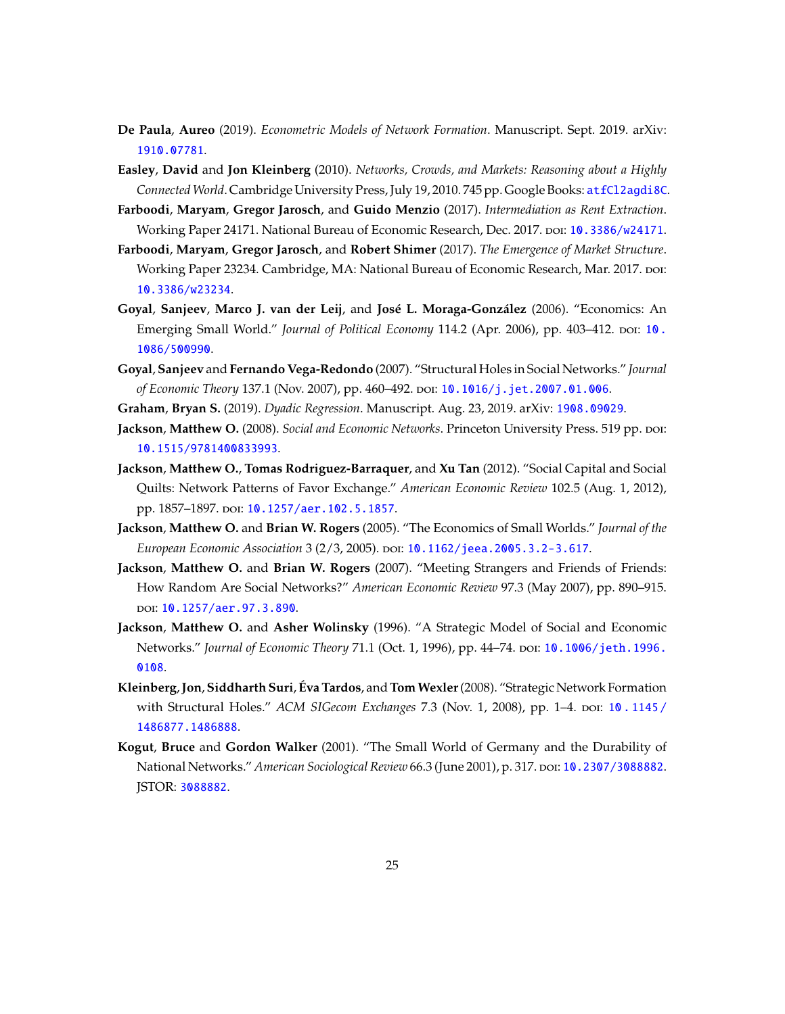- <span id="page-26-11"></span>**De Paula**, **Aureo** (2019). *Econometric Models of Network Formation*. Manuscript. Sept. 2019. arXiv: [1910.07781](https://arxiv.org/abs/1910.07781).
- <span id="page-26-1"></span>**Easley**, **David** and **Jon Kleinberg** (2010). *Networks, Crowds, and Markets: Reasoning about a Highly ConnectedWorld*. Cambridge University Press, July 19, 2010. 745 pp. Google Books: [atfCl2agdi8C](http://books.google.com/books?id=atfCl2agdi8C).
- <span id="page-26-3"></span>**Farboodi**, **Maryam**, **Gregor Jarosch**, and **Guido Menzio** (2017). *Intermediation as Rent Extraction*. Working Paper 24171. National Bureau of Economic Research, Dec. 2017. poi: [10.3386/w24171](https://doi.org/10.3386/w24171).
- <span id="page-26-12"></span>**Farboodi**, **Maryam**, **Gregor Jarosch**, and **Robert Shimer** (2017). *The Emergence of Market Structure*. Working Paper 23234. Cambridge, MA: National Bureau of Economic Research, Mar. 2017. poi: [10.3386/w23234](https://doi.org/10.3386/w23234).
- <span id="page-26-5"></span>**Goyal**, **Sanjeev**, **Marco J. van der Leij**, and **José L. Moraga-González** (2006). "Economics: An Emerging Small World." *Journal of Political Economy* 114.2 (Apr. 2006), pp. 403–412. poi: [10.](https://doi.org/10.1086/500990) [1086/500990](https://doi.org/10.1086/500990).
- <span id="page-26-6"></span>**Goyal**, **Sanjeev** and **Fernando Vega-Redondo** (2007). "Structural Holes in Social Networks." *Journal of Economic Theory* 137.1 (Nov. 2007), pp. 460–492. poi: [10.1016/j.jet.2007.01.006](https://doi.org/10.1016/j.jet.2007.01.006).
- <span id="page-26-10"></span>**Graham**, **Bryan S.** (2019). *Dyadic Regression*. Manuscript. Aug. 23, 2019. arXiv: [1908.09029](https://arxiv.org/abs/1908.09029).
- <span id="page-26-13"></span>**Jackson**, **Matthew O.** (2008). *Social and Economic Networks*. Princeton University Press. 519 pp. doi: [10.1515/9781400833993](https://doi.org/10.1515/9781400833993).
- <span id="page-26-2"></span>**Jackson**, **Matthew O.**, **Tomas Rodriguez-Barraquer**, and **Xu Tan** (2012). "Social Capital and Social Quilts: Network Patterns of Favor Exchange." *American Economic Review* 102.5 (Aug. 1, 2012), pp. 1857–1897. poi: [10.1257/aer.102.5.1857](https://doi.org/10.1257/aer.102.5.1857).
- <span id="page-26-9"></span>**Jackson**, **Matthew O.** and **Brian W. Rogers** (2005). "The Economics of Small Worlds." *Journal of the European Economic Association* 3 (2/3, 2005). doi: [10.1162/jeea.2005.3.2-3.617](https://doi.org/10.1162/jeea.2005.3.2-3.617).
- <span id="page-26-8"></span>**Jackson**, **Matthew O.** and **Brian W. Rogers** (2007). "Meeting Strangers and Friends of Friends: How Random Are Social Networks?" *American Economic Review* 97.3 (May 2007), pp. 890–915. doi: [10.1257/aer.97.3.890](https://doi.org/10.1257/aer.97.3.890).
- <span id="page-26-4"></span>**Jackson**, **Matthew O.** and **Asher Wolinsky** (1996). "A Strategic Model of Social and Economic Networks." *Journal of Economic Theory* 71.1 (Oct. 1, 1996), pp. 44–74. doi: [10.1006/jeth.1996.](https://doi.org/10.1006/jeth.1996.0108) [0108](https://doi.org/10.1006/jeth.1996.0108).
- <span id="page-26-7"></span>**Kleinberg**,**Jon**, **Siddharth Suri**, **Éva Tardos**, and**TomWexler**(2008). "Strategic Network Formation with Structural Holes." *ACM SIGecom Exchanges* 7.3 (Nov. 1, 2008), pp. 1–4. poi: [10 . 1145 /](https://doi.org/10.1145/1486877.1486888) [1486877.1486888](https://doi.org/10.1145/1486877.1486888).
- <span id="page-26-0"></span>**Kogut**, **Bruce** and **Gordon Walker** (2001). "The Small World of Germany and the Durability of National Networks." *American Sociological Review* 66.3 (June 2001), p. 317. poi: [10.2307/3088882](https://doi.org/10.2307/3088882). JSTOR: [3088882](http://www.jstor.org/stable/3088882).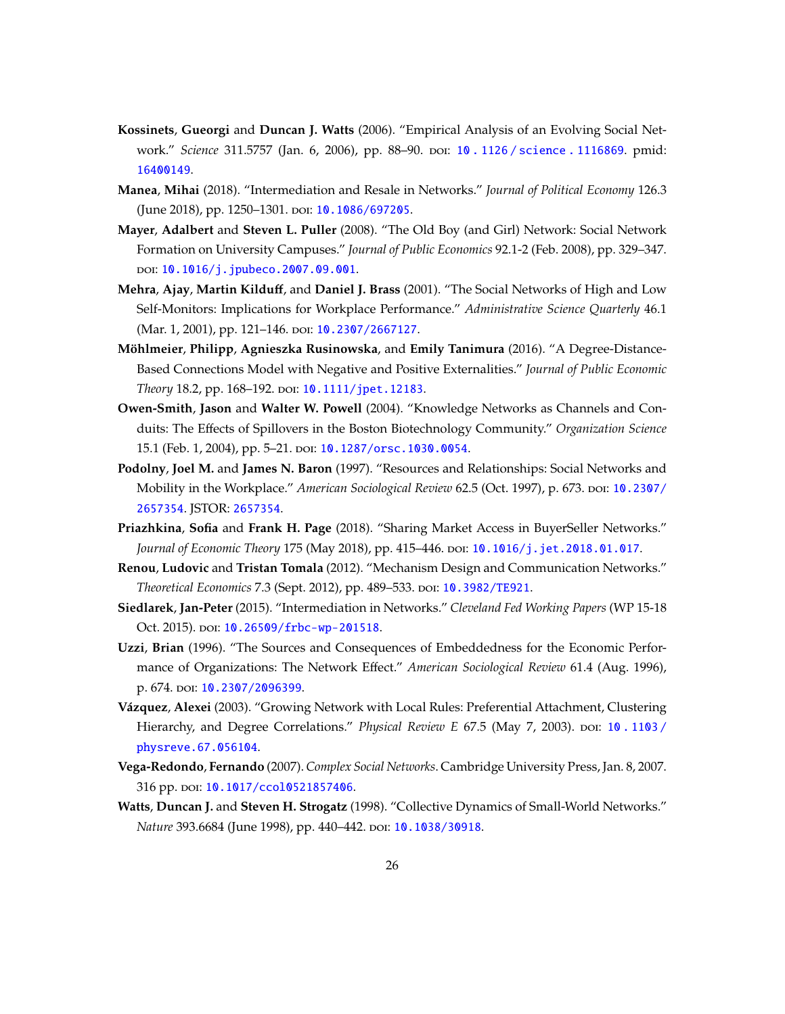- <span id="page-27-10"></span>**Kossinets**, **Gueorgi** and **Duncan J. Watts** (2006). "Empirical Analysis of an Evolving Social Network." *Science* 311.5757 (Jan. 6, 2006), pp. 88–90. doi: [10 . 1126 / science . 1116869](https://doi.org/10.1126/science.1116869). pmid: <16400149>.
- <span id="page-27-6"></span>**Manea**, **Mihai** (2018). "Intermediation and Resale in Networks." *Journal of Political Economy* 126.3 (June 2018), pp. 1250-1301. poi: [10.1086/697205](https://doi.org/10.1086/697205).
- <span id="page-27-1"></span>**Mayer**, **Adalbert** and **Steven L. Puller** (2008). "The Old Boy (and Girl) Network: Social Network Formation on University Campuses." *Journal of Public Economics* 92.1-2 (Feb. 2008), pp. 329–347. doi: [10.1016/j.jpubeco.2007.09.001](https://doi.org/10.1016/j.jpubeco.2007.09.001).
- <span id="page-27-4"></span>**Mehra**, **Ajay**, **Martin Kilduff**, and **Daniel J. Brass** (2001). "The Social Networks of High and Low Self-Monitors: Implications for Workplace Performance." *Administrative Science Quarterly* 46.1 (Mar. 1, 2001), pp. 121-146. poi: [10.2307/2667127](https://doi.org/10.2307/2667127).
- <span id="page-27-12"></span>**Möhlmeier**, **Philipp**, **Agnieszka Rusinowska**, and **Emily Tanimura** (2016). "A Degree-Distance-Based Connections Model with Negative and Positive Externalities." *Journal of Public Economic Theory* 18.2, pp. 168–192. poi: [10.1111/jpet.12183](https://doi.org/10.1111/jpet.12183).
- <span id="page-27-5"></span>**Owen-Smith**, **Jason** and **Walter W. Powell** (2004). "Knowledge Networks as Channels and Conduits: The Effects of Spillovers in the Boston Biotechnology Community." *Organization Science* 15.1 (Feb. 1, 2004), pp. 5-21. poi: [10.1287/orsc.1030.0054](https://doi.org/10.1287/orsc.1030.0054).
- <span id="page-27-3"></span>**Podolny**, **Joel M.** and **James N. Baron** (1997). "Resources and Relationships: Social Networks and Mobility in the Workplace." *American Sociological Review* 62.5 (Oct. 1997), p. 673. poi: [10.2307/](https://doi.org/10.2307/2657354) [2657354](https://doi.org/10.2307/2657354). JSTOR: [2657354](http://www.jstor.org/stable/2657354).
- <span id="page-27-9"></span>**Priazhkina**, **Sofia** and **Frank H. Page** (2018). "Sharing Market Access in BuyerSeller Networks." Journal of Economic Theory 175 (May 2018), pp. 415-446. DOI: [10.1016/j.jet.2018.01.017](https://doi.org/10.1016/j.jet.2018.01.017).
- <span id="page-27-2"></span>**Renou**, **Ludovic** and **Tristan Tomala** (2012). "Mechanism Design and Communication Networks." *Theoretical Economics* 7.3 (Sept. 2012), pp. 489–533. doi: [10.3982/TE921](https://doi.org/10.3982/TE921).
- <span id="page-27-11"></span>**Siedlarek**, **Jan-Peter** (2015). "Intermediation in Networks." *Cleveland Fed Working Papers* (WP 15-18 Oct. 2015). doi: [10.26509/frbc-wp-201518](https://doi.org/10.26509/frbc-wp-201518).
- <span id="page-27-0"></span>**Uzzi**, **Brian** (1996). "The Sources and Consequences of Embeddedness for the Economic Performance of Organizations: The Network Effect." *American Sociological Review* 61.4 (Aug. 1996), p. 674. poi: [10.2307/2096399](https://doi.org/10.2307/2096399).
- <span id="page-27-8"></span>**Vázquez**, **Alexei** (2003). "Growing Network with Local Rules: Preferential Attachment, Clustering Hierarchy, and Degree Correlations." *Physical Review E* 67.5 (May 7, 2003). Doi: [10 . 1103 /](https://doi.org/10.1103/physreve.67.056104) [physreve.67.056104](https://doi.org/10.1103/physreve.67.056104).
- <span id="page-27-13"></span>**Vega-Redondo**, **Fernando** (2007). *Complex Social Networks*. Cambridge University Press, Jan. 8, 2007. 316 pp. doi: [10.1017/ccol0521857406](https://doi.org/10.1017/ccol0521857406).
- <span id="page-27-7"></span>**Watts**, **Duncan J.** and **Steven H. Strogatz** (1998). "Collective Dynamics of Small-World Networks." *Nature* 393.6684 (June 1998), pp. 440-442. poi: [10.1038/30918](https://doi.org/10.1038/30918).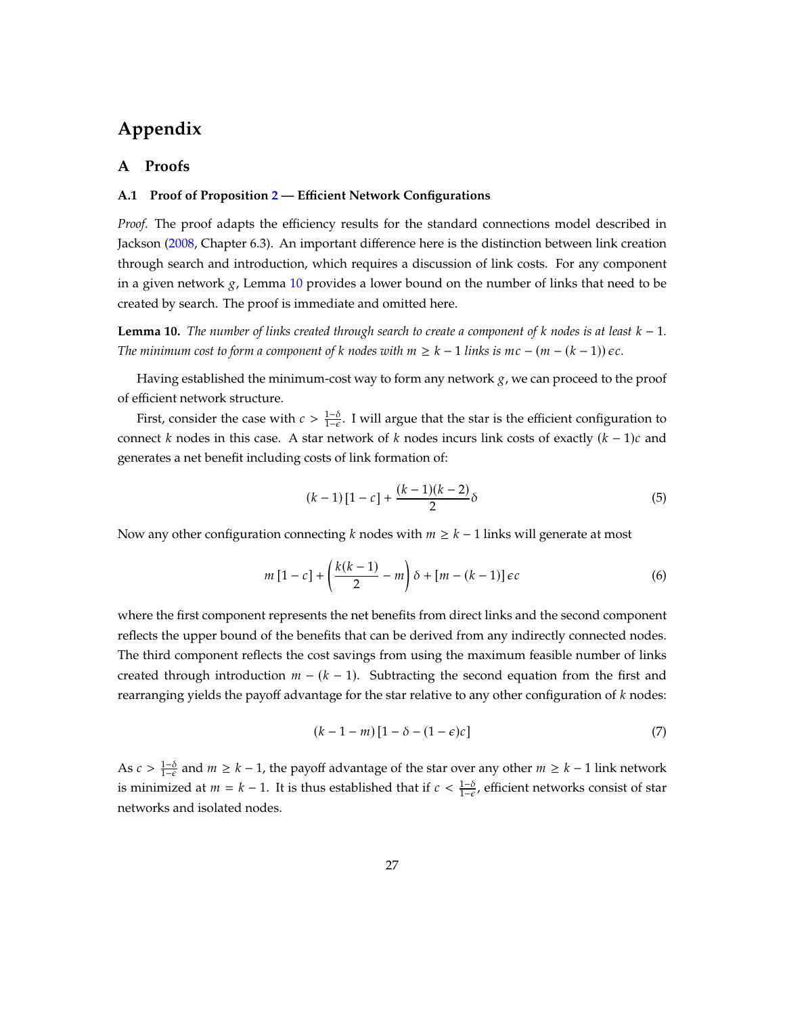# **Appendix**

#### **A Proofs**

#### **A.1 Proof of Proposition [2](#page-11-2) — Efficient Network Configurations**

*Proof.* The proof adapts the efficiency results for the standard connections model described in Jackson ([2008,](#page-26-13) Chapter 6.3). An important difference here is the distinction between link creation through search and introduction, which requires a discussion of link costs. For any component in a given network  $g$ , Lemma [10](#page-28-0) provides a lower bound on the number of links that need to be created by search. The proof is immediate and omitted here.

<span id="page-28-0"></span>**Lemma 10.** *The number of links created through search to create a component of k nodes is at least*  $k - 1$ *. The minimum cost to form a component of*  $k$  nodes with  $m \geq k - 1$  *links is*  $mc - (m - (k - 1)) \epsilon c$ .

Having established the minimum-cost way to form any network  $g$ , we can proceed to the proof of efficient network structure.

First, consider the case with  $c > \frac{1-\delta}{1-\epsilon}$ . I will argue that the star is the efficient configuration to connect k nodes in this case. A star network of k nodes incurs link costs of exactly  $(k - 1)c$  and generates a net benefit including costs of link formation of:

$$
(k-1)\left[1-c\right] + \frac{(k-1)(k-2)}{2}\delta\tag{5}
$$

Now any other configuration connecting  $k$  nodes with  $m \geq k - 1$  links will generate at most

$$
m\left[1-c\right] + \left(\frac{k(k-1)}{2} - m\right)\delta + \left[m - (k-1)\right]\epsilon c\tag{6}
$$

where the first component represents the net benefits from direct links and the second component reflects the upper bound of the benefits that can be derived from any indirectly connected nodes. The third component reflects the cost savings from using the maximum feasible number of links created through introduction  $m - (k - 1)$ . Subtracting the second equation from the first and rearranging yields the payoff advantage for the star relative to any other configuration of  $k$  nodes:

$$
(k-1-m)\left[1-\delta-(1-\epsilon)c\right]
$$
\n(7)

As  $c > \frac{1-\delta}{1-\epsilon}$  and  $m \geq k-1$ , the payoff advantage of the star over any other  $m \geq k-1$  link network is minimized at  $m = k - 1$ . It is thus established that if  $c < \frac{1-\delta}{1-\epsilon}$ , efficient networks consist of star networks and isolated nodes.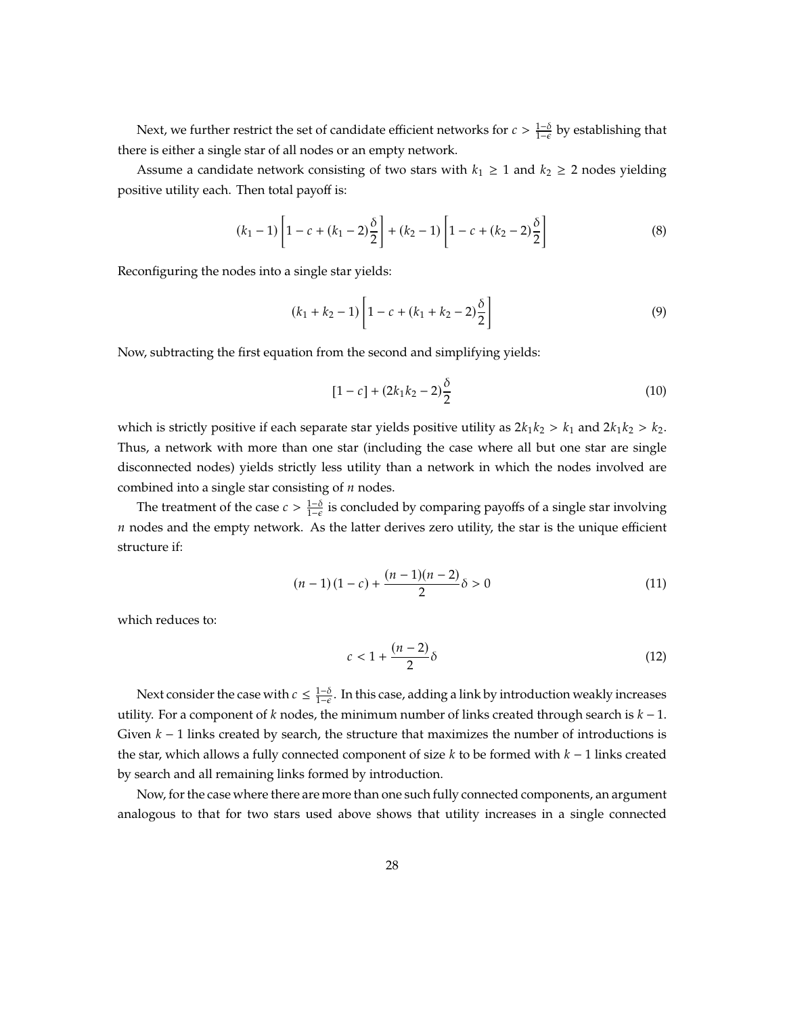Next, we further restrict the set of candidate efficient networks for  $c > \frac{1-\delta}{1-\epsilon}$  by establishing that there is either a single star of all nodes or an empty network.

Assume a candidate network consisting of two stars with  $k_1 \geq 1$  and  $k_2 \geq 2$  nodes yielding positive utility each. Then total payoff is:

$$
(k_1 - 1)\left[1 - c + (k_1 - 2)\frac{\delta}{2}\right] + (k_2 - 1)\left[1 - c + (k_2 - 2)\frac{\delta}{2}\right] \tag{8}
$$

Reconfiguring the nodes into a single star yields:

$$
(k_1 + k_2 - 1) \left[ 1 - c + (k_1 + k_2 - 2) \frac{\delta}{2} \right]
$$
 (9)

Now, subtracting the first equation from the second and simplifying yields:

$$
[1 - c] + (2k_1k_2 - 2)\frac{\delta}{2}
$$
 (10)

which is strictly positive if each separate star yields positive utility as  $2k_1k_2 > k_1$  and  $2k_1k_2 > k_2$ . Thus, a network with more than one star (including the case where all but one star are single disconnected nodes) yields strictly less utility than a network in which the nodes involved are combined into a single star consisting of  $n$  nodes.

The treatment of the case  $c > \frac{1-\delta}{1-\epsilon}$  is concluded by comparing payoffs of a single star involving  $n$  nodes and the empty network. As the latter derives zero utility, the star is the unique efficient structure if:

$$
(n-1)(1-c) + \frac{(n-1)(n-2)}{2}\delta > 0
$$
\n(11)

which reduces to:

$$
c < 1 + \frac{(n-2)}{2}\delta \tag{12}
$$

Next consider the case with  $c \leq \frac{1-\delta}{1-\epsilon}$ . In this case, adding a link by introduction weakly increases utility. For a component of  $k$  nodes, the minimum number of links created through search is  $k - 1$ . Given  $k - 1$  links created by search, the structure that maximizes the number of introductions is the star, which allows a fully connected component of size  $k$  to be formed with  $k - 1$  links created by search and all remaining links formed by introduction.

Now, for the case where there are more than one such fully connected components, an argument analogous to that for two stars used above shows that utility increases in a single connected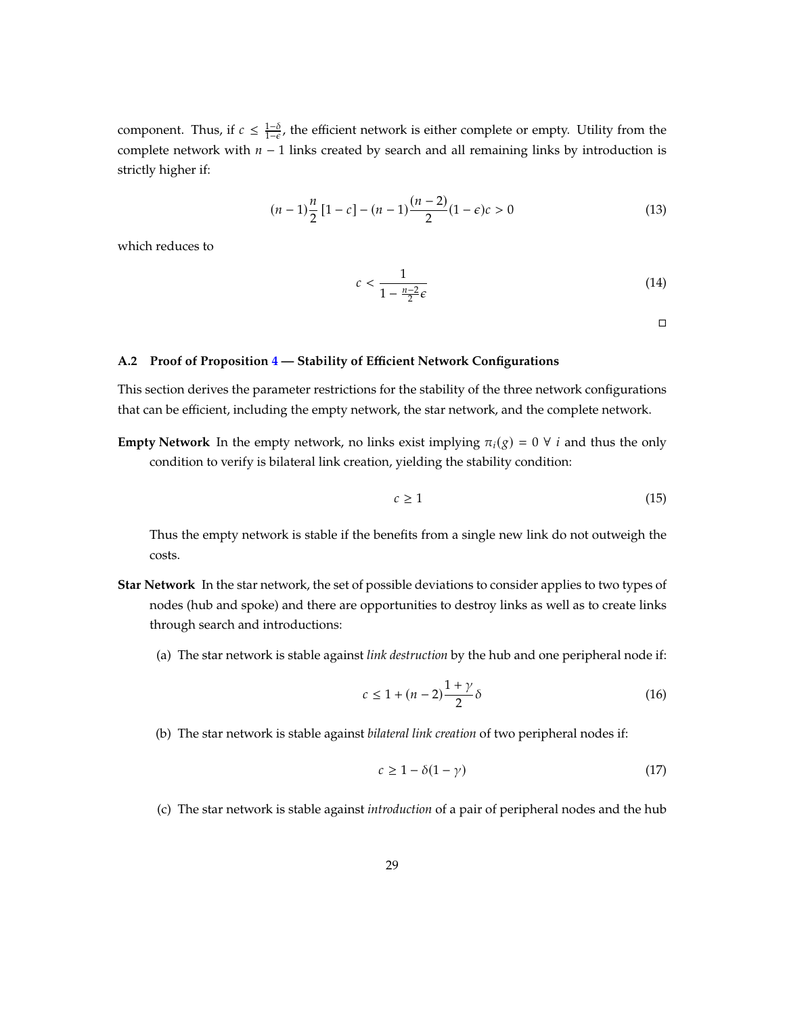component. Thus, if  $c \leq \frac{1-\delta}{1-\epsilon}$ , the efficient network is either complete or empty. Utility from the complete network with  $n - 1$  links created by search and all remaining links by introduction is strictly higher if:

$$
(n-1)\frac{n}{2}[1-c] - (n-1)\frac{(n-2)}{2}(1-c)c > 0
$$
\n(13)

which reduces to

$$
c < \frac{1}{1 - \frac{n-2}{2}\epsilon} \tag{14}
$$

 $\Box$ 

#### <span id="page-30-0"></span>**A.2 Proof of Proposition [4](#page-15-1) — Stability of Efficient Network Configurations**

This section derives the parameter restrictions for the stability of the three network configurations that can be efficient, including the empty network, the star network, and the complete network.

**Empty Network** In the empty network, no links exist implying  $\pi_i(g) = 0 \forall i$  and thus the only condition to verify is bilateral link creation, yielding the stability condition:

$$
c \ge 1\tag{15}
$$

Thus the empty network is stable if the benefits from a single new link do not outweigh the costs.

- **Star Network** In the star network, the set of possible deviations to consider applies to two types of nodes (hub and spoke) and there are opportunities to destroy links as well as to create links through search and introductions:
	- (a) The star network is stable against *link destruction* by the hub and one peripheral node if:

$$
c \le 1 + (n-2)\frac{1+\gamma}{2}\delta\tag{16}
$$

(b) The star network is stable against *bilateral link creation* of two peripheral nodes if:

$$
c \ge 1 - \delta(1 - \gamma) \tag{17}
$$

(c) The star network is stable against *introduction* of a pair of peripheral nodes and the hub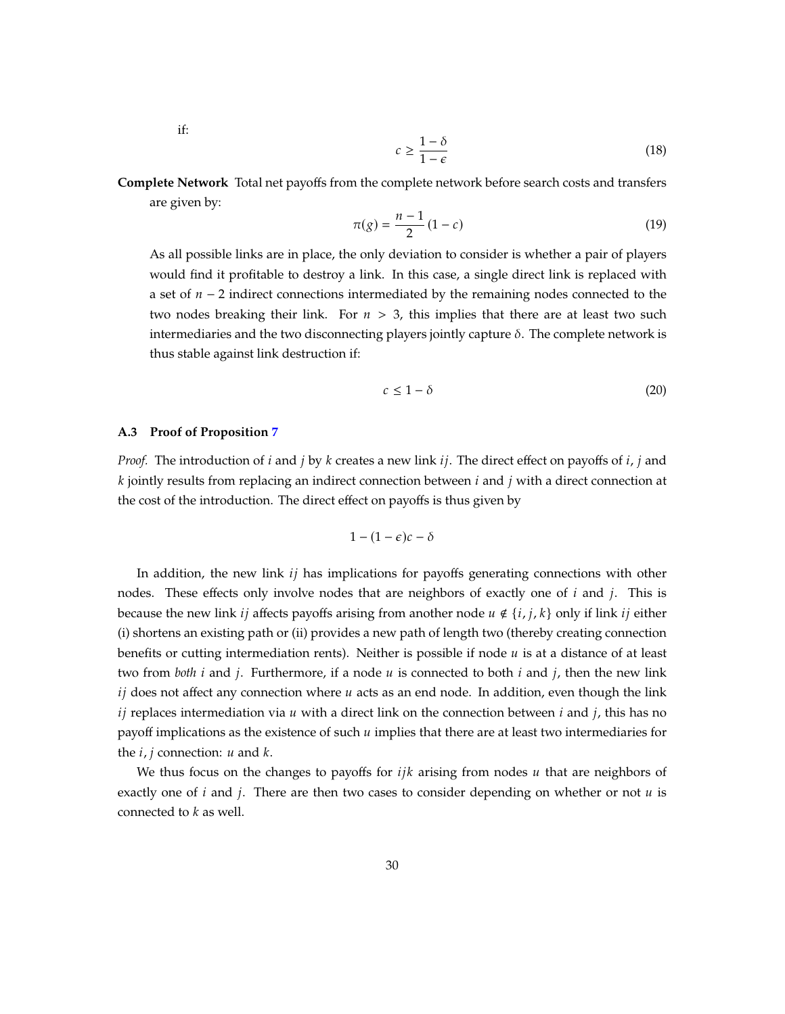$$
\quad \text{if:} \quad
$$

$$
c \ge \frac{1-\delta}{1-\epsilon} \tag{18}
$$

**Complete Network** Total net payoffs from the complete network before search costs and transfers are given by:

$$
\pi(g) = \frac{n-1}{2} (1 - c) \tag{19}
$$

As all possible links are in place, the only deviation to consider is whether a pair of players would find it profitable to destroy a link. In this case, a single direct link is replaced with a set of  $n - 2$  indirect connections intermediated by the remaining nodes connected to the two nodes breaking their link. For  $n > 3$ , this implies that there are at least two such intermediaries and the two disconnecting players jointly capture  $\delta$ . The complete network is thus stable against link destruction if:

$$
c \le 1 - \delta \tag{20}
$$

#### **A.3 Proof of Proposition [7](#page-18-1)**

*Proof.* The introduction of i and j by k creates a new link ij. The direct effect on payoffs of i, j and  $k$  jointly results from replacing an indirect connection between  $i$  and  $j$  with a direct connection at the cost of the introduction. The direct effect on payoffs is thus given by

$$
1-(1-\epsilon)c-\delta
$$

In addition, the new link  $i\dot{j}$  has implications for payoffs generating connections with other nodes. These effects only involve nodes that are neighbors of exactly one of  $i$  and  $j$ . This is because the new link *ij* affects payoffs arising from another node  $u \notin \{i, j, k\}$  only if link *ij* either (i) shortens an existing path or (ii) provides a new path of length two (thereby creating connection benefits or cutting intermediation rents). Neither is possible if node  $u$  is at a distance of at least two from *both i* and *j*. Furthermore, if a node  $u$  is connected to both *i* and *j*, then the new link  $i\dot{j}$  does not affect any connection where  $u$  acts as an end node. In addition, even though the link *i* j replaces intermediation via  $u$  with a direct link on the connection between  $i$  and  $j$ , this has no payoff implications as the existence of such  $u$  implies that there are at least two intermediaries for the  $i, j$  connection:  $u$  and  $k$ .

We thus focus on the changes to payoffs for  $ijk$  arising from nodes  $u$  that are neighbors of exactly one of  $i$  and  $j$ . There are then two cases to consider depending on whether or not  $u$  is connected to  $k$  as well.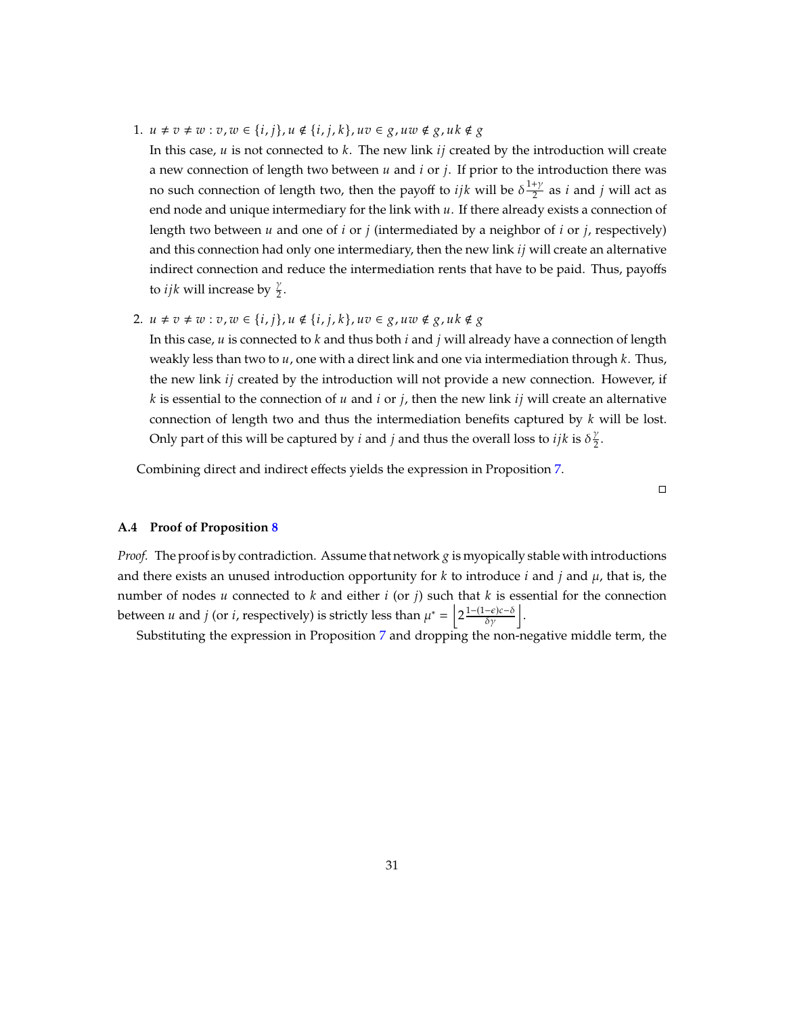1.  $u \neq v \neq w : v, w \in \{i, j\}, u \notin \{i, j, k\}, uv \in g, uw \notin g, uk \notin g$ 

In this case,  $u$  is not connected to  $k$ . The new link  $ij$  created by the introduction will create a new connection of length two between  $u$  and  $i$  or  $j$ . If prior to the introduction there was no such connection of length two, then the payoff to  $ijk$  will be  $\delta \frac{1 + \gamma}{2}$  $\frac{y}{2}$  as *i* and *j* will act as end node and unique intermediary for the link with  $u$ . If there already exists a connection of length two between  $u$  and one of  $i$  or  $j$  (intermediated by a neighbor of  $i$  or  $j$ , respectively) and this connection had only one intermediary, then the new link  $ij$  will create an alternative indirect connection and reduce the intermediation rents that have to be paid. Thus, payoffs to *ijk* will increase by  $\frac{\gamma}{2}$ .

2.  $u \neq v \neq w : v, w \in \{i, j\}, u \notin \{i, j, k\}, uv \in g, uw \notin g, uk \notin g$ 

In this case,  $u$  is connected to  $k$  and thus both  $i$  and  $j$  will already have a connection of length weakly less than two to  $u$ , one with a direct link and one via intermediation through  $k$ . Thus, the new link  $ij$  created by the introduction will not provide a new connection. However, if k is essential to the connection of  $u$  and  $i$  or  $j$ , then the new link  $ij$  will create an alternative connection of length two and thus the intermediation benefits captured by  $k$  will be lost. Only part of this will be captured by *i* and *j* and thus the overall loss to *ijk* is  $\delta^{\gamma}_{2}$  $\frac{y}{2}$ .

Combining direct and indirect effects yields the expression in Proposition [7.](#page-18-1)

 $\Box$ 

#### **A.4 Proof of Proposition [8](#page-20-0)**

*Proof.* The proof is by contradiction. Assume that network  $g$  is myopically stable with introductions and there exists an unused introduction opportunity for  $k$  to introduce  $i$  and  $j$  and  $\mu$ , that is, the number of nodes  $u$  connected to  $k$  and either  $i$  (or  $j$ ) such that  $k$  is essential for the connection between *u* and *j* (or *i*, respectively) is strictly less than  $\mu^* = \left| 2 \frac{1-(1-\epsilon)c-\delta}{\delta \gamma} \right|$ .

Substituting the expression in Proposition [7](#page-18-1) and dropping the non-negative middle term, the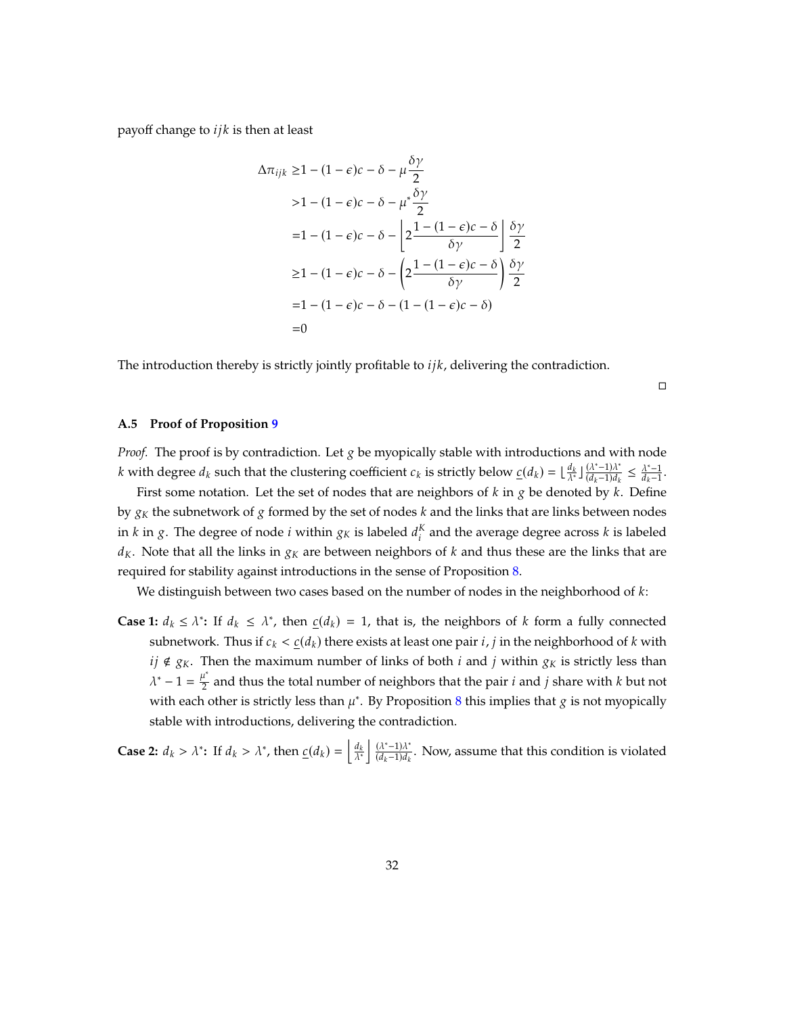payoff change to  $ijk$  is then at least

$$
\Delta \pi_{ijk} \ge 1 - (1 - \epsilon)c - \delta - \mu \frac{\delta \gamma}{2}
$$
  
\n
$$
> 1 - (1 - \epsilon)c - \delta - \mu^* \frac{\delta \gamma}{2}
$$
  
\n
$$
= 1 - (1 - \epsilon)c - \delta - \left[ 2 \frac{1 - (1 - \epsilon)c - \delta}{\delta \gamma} \right] \frac{\delta \gamma}{2}
$$
  
\n
$$
\ge 1 - (1 - \epsilon)c - \delta - \left( 2 \frac{1 - (1 - \epsilon)c - \delta}{\delta \gamma} \right) \frac{\delta \gamma}{2}
$$
  
\n
$$
= 1 - (1 - \epsilon)c - \delta - (1 - (1 - \epsilon)c - \delta)
$$
  
\n
$$
= 0
$$

The introduction thereby is strictly jointly profitable to  $ijk$ , delivering the contradiction.

 $\Box$ 

#### **A.5 Proof of Proposition [9](#page-20-1)**

*Proof.* The proof is by contradiction. Let  $g$  be myopically stable with introductions and with node k with degree  $d_k$  such that the clustering coefficient  $c_k$  is strictly below  $\underline{c}(d_k) = \lfloor \frac{d_k}{\lambda^*} \rfloor \frac{(\lambda^* - 1)\lambda^*}{(d_k - 1)d_k}$  $\frac{(\lambda^*-1)\lambda^*}{(d_k-1)d_k} \leq \frac{\lambda^*-1}{d_k-1}$  $\frac{\lambda-1}{d_k-1}$ .

First some notation. Let the set of nodes that are neighbors of  $k$  in  $g$  be denoted by  $k$ . Define by  $g_K$  the subnetwork of  $g$  formed by the set of nodes  $k$  and the links that are links between nodes in k in g. The degree of node *i* within  $g_k$  is labeled  $d_i^k$  and the average degree across k is labeled  $d_K$ . Note that all the links in  $g_K$  are between neighbors of k and thus these are the links that are required for stability against introductions in the sense of Proposition [8.](#page-20-0)

We distinguish between two cases based on the number of nodes in the neighborhood of  $k$ :

**Case 1:**  $d_k \leq \lambda^*$ : If  $d_k \leq \lambda^*$ , then  $\underline{c}(d_k) = 1$ , that is, the neighbors of k form a fully connected subnetwork. Thus if  $c_k < \underline{c}(d_k)$  there exists at least one pair *i*, *j* in the neighborhood of *k* with *ij* ∉  $g_K$ . Then the maximum number of links of both *i* and *j* within  $g_K$  is strictly less than  $\lambda^* - 1 = \frac{\mu^*}{2}$  $\frac{1}{2}$  and thus the total number of neighbors that the pair *i* and *j* share with *k* but not with each other is strictly less than  $\mu^*$ . By Proposition [8](#page-20-0) this implies that g is not myopically stable with introductions, delivering the contradiction.

**Case 2:**  $d_k > \lambda^*$ : If  $d_k > \lambda^*$ , then  $\underline{c}(d_k) = \begin{vmatrix} \frac{d_k}{\lambda^*} & \lambda^* \end{vmatrix}$  $\int (\lambda^* - 1)\lambda^*$  $\frac{(A-1)A}{(d_k-1)d_k}$ . Now, assume that this condition is violated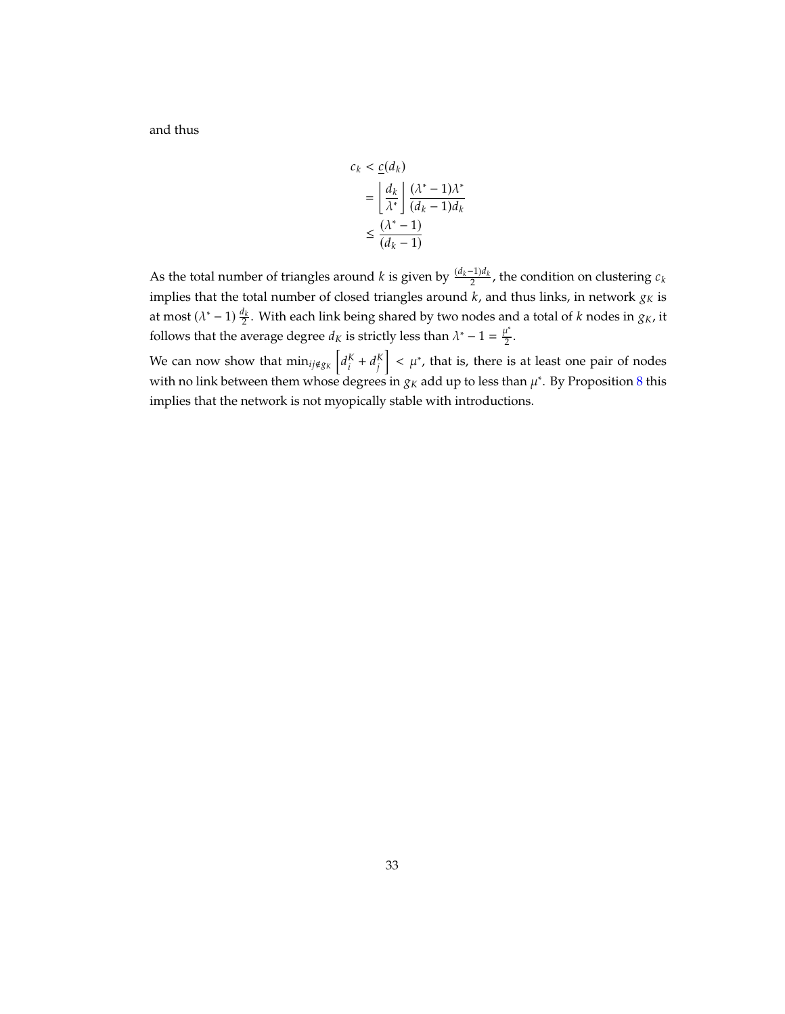and thus

$$
c_k < \underline{c}(d_k)
$$
\n
$$
= \left| \frac{d_k}{\lambda^*} \right| \frac{(\lambda^* - 1)\lambda^*}{(d_k - 1)d_k}
$$
\n
$$
\leq \frac{(\lambda^* - 1)}{(d_k - 1)}
$$

As the total number of triangles around  $k$  is given by  $\frac{(d_k-1)d_k}{2}$ , the condition on clustering  $c_k$ implies that the total number of closed triangles around  $k$ , and thus links, in network  $g<sub>K</sub>$  is at most ( $\lambda^*$  – 1)  $\frac{d_k}{2}$ . With each link being shared by two nodes and a total of  $k$  nodes in  $g_K$ , it follows that the average degree  $d_K$  is strictly less than  $\lambda^* - 1 = \frac{\mu^*}{2}$  $\frac{1}{2}$ .

We can now show that  $\min_{ij \notin g_K}$   $\left[$  $d_i^K + d_j^K$  $\vert \vert < \mu^*$ , that is, there is at least one pair of nodes with no link between them whose degrees in  $g_K$  add up to less than  $\mu^*$ . By Proposition [8](#page-20-0) this implies that the network is not myopically stable with introductions.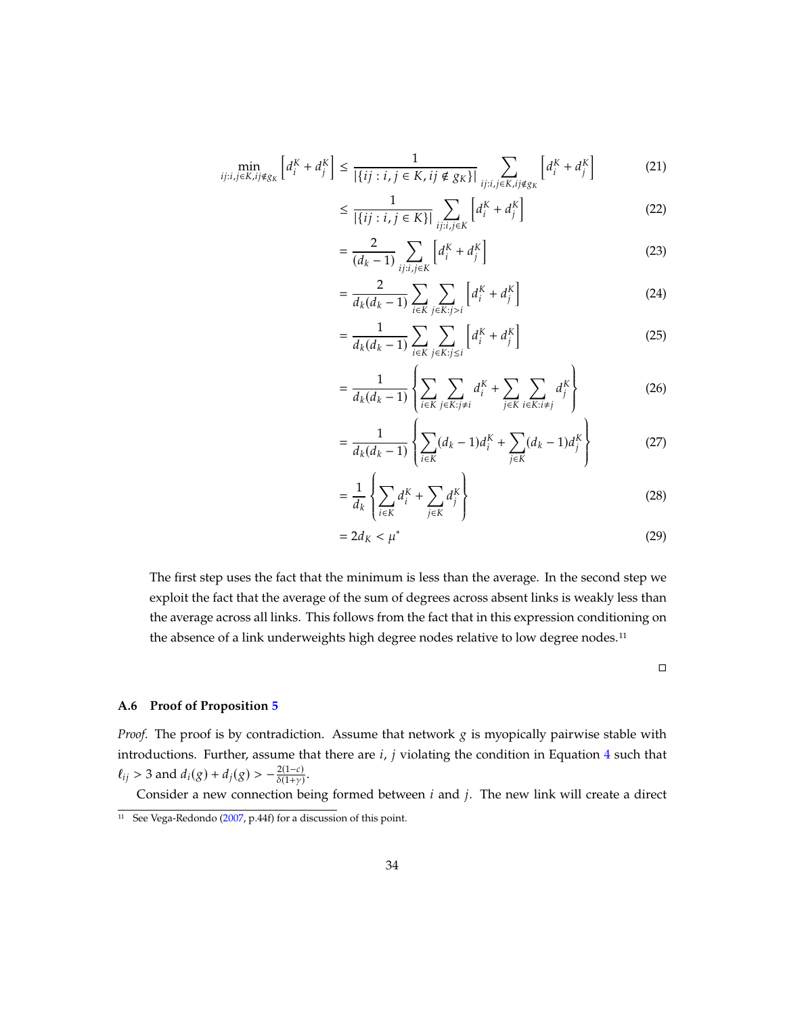$$
\min_{ij:i,j\in K,ij\notin g_K} \left[ d_i^K + d_j^K \right] \le \frac{1}{|\{ij:i,j\in K,ij\notin g_K\}|} \sum_{ij:i,j\in K,ij\notin g_K} \left[ d_i^K + d_j^K \right] \tag{21}
$$

$$
\leq \frac{1}{|\{ij : i, j \in K\}|} \sum_{ij:i,j \in K} \left[ d_i^K + d_j^K \right] \tag{22}
$$

$$
=\frac{2}{(d_k-1)}\sum_{ij:i,j\in K}\left[d_i^K+d_j^K\right]
$$
\n(23)

$$
= \frac{2}{d_k(d_k - 1)} \sum_{i \in K} \sum_{j \in K: j > i} \left[ d_i^K + d_j^K \right] \tag{24}
$$

$$
=\frac{1}{d_k(d_k-1)}\sum_{i\in K}\sum_{j\in K:j\leq i}\left[d_i^K+d_j^K\right]
$$
\n(25)

$$
= \frac{1}{d_k(d_k - 1)} \left\{ \sum_{i \in K} \sum_{j \in K: j \neq i} d_i^K + \sum_{j \in K} \sum_{i \in K: i \neq j} d_j^K \right\}
$$
(26)

$$
= \frac{1}{d_k(d_k - 1)} \left\{ \sum_{i \in K} (d_k - 1) d_i^K + \sum_{j \in K} (d_k - 1) d_j^K \right\}
$$
(27)

$$
= \frac{1}{d_k} \left\{ \sum_{i \in K} d_i^K + \sum_{j \in K} d_j^K \right\} \tag{28}
$$

$$
=2d_K<\mu^*
$$
\n(29)

The first step uses the fact that the minimum is less than the average. In the second step we exploit the fact that the average of the sum of degrees across absent links is weakly less than the average across all links. This follows from the fact that in this expression conditioning on the absence of a link underweights high degree nodes relative to low degree nodes.<sup>11</sup>

 $\Box$ 

#### **A.6 Proof of Proposition [5](#page-17-2)**

*Proof.* The proof is by contradiction. Assume that network  $g$  is myopically pairwise stable with introductions. Further, assume that there are  $i$ ,  $j$  violating the condition in Equation [4](#page-17-3) such that  $\ell_{ij} > 3$  and  $d_i(g) + d_j(g) > -\frac{2(1-c)}{\delta(1+v)}$  $\frac{2(1-t)}{\delta(1+\gamma)}$ .

Consider a new connection being formed between  $i$  and  $j$ . The new link will create a direct

<sup>&</sup>lt;sup>11</sup> See Vega-Redondo [\(2007](#page-27-13), p.44f) for a discussion of this point.